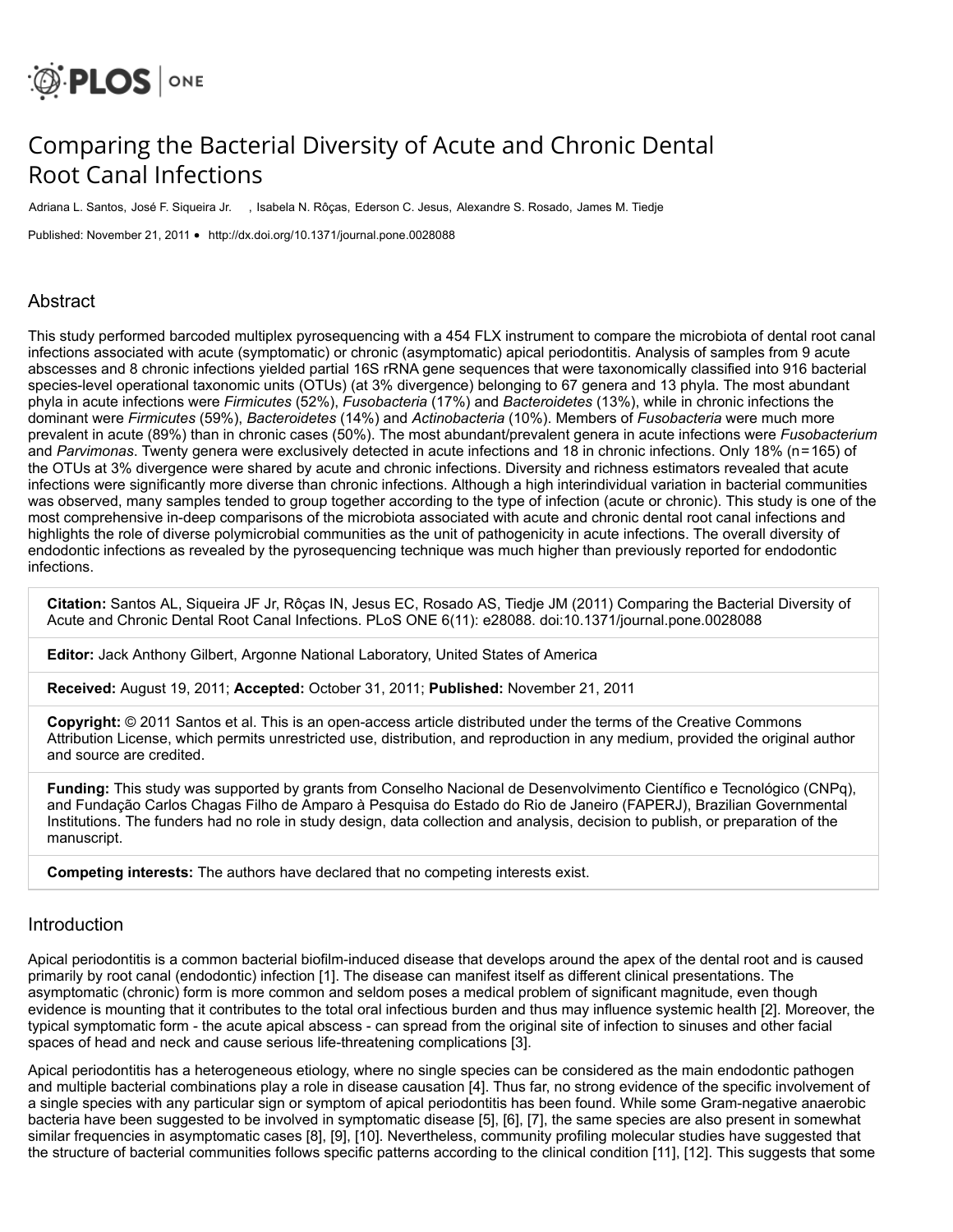

# Comparing the Bacterial Diversity of Acute and Chronic Dental Root Canal Infections

Adriana L. Santos, José F. Siqueira Jr. , Isabela N. Rôças, Ederson C. Jesus, Alexandre S. Rosado, James M. Tiedje

Published: November 21, 2011 • <http://dx.doi.org/10.1371/journal.pone.0028088>

# Abstract

This study performed barcoded multiplex pyrosequencing with a 454 FLX instrument to compare the microbiota of dental root canal infections associated with acute (symptomatic) or chronic (asymptomatic) apical periodontitis. Analysis of samples from 9 acute abscesses and 8 chronic infections yielded partial 16S rRNA gene sequences that were taxonomically classified into 916 bacterial species-level operational taxonomic units (OTUs) (at 3% divergence) belonging to 67 genera and 13 phyla. The most abundant phyla in acute infections were *Firmicutes* (52%), *Fusobacteria* (17%) and *Bacteroidetes* (13%), while in chronic infections the dominant were *Firmicutes* (59%), *Bacteroidetes* (14%) and *Actinobacteria* (10%). Members of *Fusobacteria* were much more prevalent in acute (89%) than in chronic cases (50%). The most abundant/prevalent genera in acute infections were *Fusobacterium* and *Parvimonas*. Twenty genera were exclusively detected in acute infections and 18 in chronic infections. Only 18% (n=165) of the OTUs at 3% divergence were shared by acute and chronic infections. Diversity and richness estimators revealed that acute infections were significantly more diverse than chronic infections. Although a high interindividual variation in bacterial communities was observed, many samples tended to group together according to the type of infection (acute or chronic). This study is one of the most comprehensive in-deep comparisons of the microbiota associated with acute and chronic dental root canal infections and highlights the role of diverse polymicrobial communities as the unit of pathogenicity in acute infections. The overall diversity of endodontic infections as revealed by the pyrosequencing technique was much higher than previously reported for endodontic infections.

**Citation:** Santos AL, Siqueira JF Jr, Rôças IN, Jesus EC, Rosado AS, Tiedje JM (2011) Comparing the Bacterial Diversity of Acute and Chronic Dental Root Canal Infections. PLoS ONE 6(11): e28088. doi:10.1371/journal.pone.0028088

**Editor:** Jack Anthony Gilbert, Argonne National Laboratory, United States of America

**Received:** August 19, 2011; **Accepted:** October 31, 2011; **Published:** November 21, 2011

**Copyright:** © 2011 Santos et al. This is an open-access article distributed under the terms of the Creative Commons Attribution License, which permits unrestricted use, distribution, and reproduction in any medium, provided the original author and source are credited.

**Funding:** This study was supported by grants from Conselho Nacional de Desenvolvimento Científico e Tecnológico (CNPq), and Fundação Carlos Chagas Filho de Amparo à Pesquisa do Estado do Rio de Janeiro (FAPERJ), Brazilian Governmental Institutions. The funders had no role in study design, data collection and analysis, decision to publish, or preparation of the manuscript.

**Competing interests:** The authors have declared that no competing interests exist.

### Introduction

Apical periodontitis is a common bacterial biofilm-induced disease that develops around the apex of the dental root and is caused primarily by root canal (endodontic) infection [\[1\]](http://journals.plos.org/plosone/article?id=10.1371/journal.pone.0028088#pone.0028088-Siqueira1). The disease can manifest itself as different clinical presentations. The asymptomatic (chronic) form is more common and seldom poses a medical problem of significant magnitude, even though evidence is mounting that it contributes to the total oral infectious burden and thus may influence systemic health [\[2\]](http://journals.plos.org/plosone/article?id=10.1371/journal.pone.0028088#pone.0028088-Caplan1). Moreover, the typical symptomatic form - the acute apical abscess - can spread from the original site of infection to sinuses and other facial spaces of head and neck and cause serious life-threatening complications [\[3\].](http://journals.plos.org/plosone/article?id=10.1371/journal.pone.0028088#pone.0028088-Robertson1)

Apical periodontitis has a heterogeneous etiology, where no single species can be considered as the main endodontic pathogen and multiple bacterial combinations play a role in disease causation [\[4\].](http://journals.plos.org/plosone/article?id=10.1371/journal.pone.0028088#pone.0028088-Siqueira2) Thus far, no strong evidence of the specific involvement of a single species with any particular sign or symptom of apical periodontitis has been found. While some Gram-negative anaerobic bacteria have been suggested to be involved in symptomatic disease [\[5\]](http://journals.plos.org/plosone/article?id=10.1371/journal.pone.0028088#pone.0028088-Sundqvist1), [\[6\],](http://journals.plos.org/plosone/article?id=10.1371/journal.pone.0028088#pone.0028088-Gomes1) [\[7\]](http://journals.plos.org/plosone/article?id=10.1371/journal.pone.0028088#pone.0028088-Siqueira3), the same species are also present in somewhat similar frequencies in asymptomatic cases [\[8\]](http://journals.plos.org/plosone/article?id=10.1371/journal.pone.0028088#pone.0028088-Baumgartner1), [\[9\],](http://journals.plos.org/plosone/article?id=10.1371/journal.pone.0028088#pone.0028088-Siqueira4) [\[10\].](http://journals.plos.org/plosone/article?id=10.1371/journal.pone.0028088#pone.0028088-Ras1) Nevertheless, community profiling molecular studies have suggested that the structure of bacterial communities follows specific patterns according to the clinical condition [\[11\]](http://journals.plos.org/plosone/article?id=10.1371/journal.pone.0028088#pone.0028088-Siqueira5), [\[12\]](http://journals.plos.org/plosone/article?id=10.1371/journal.pone.0028088#pone.0028088-Sakamoto1). This suggests that some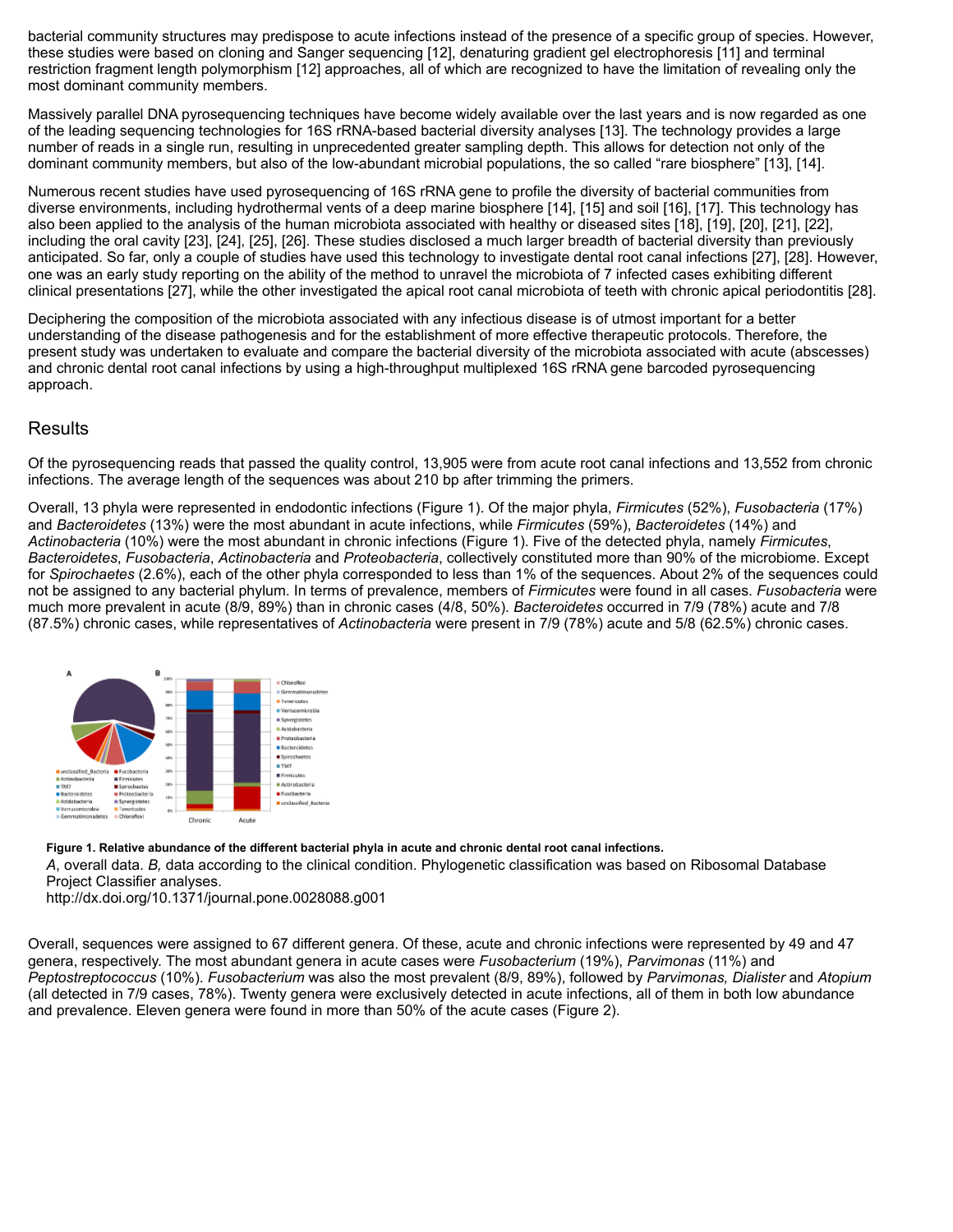bacterial community structures may predispose to acute infections instead of the presence of a specific group of species. However, these studies were based on cloning and Sanger sequencing [\[12\]](http://journals.plos.org/plosone/article?id=10.1371/journal.pone.0028088#pone.0028088-Sakamoto1), denaturing gradient gel electrophoresis [\[11\]](http://journals.plos.org/plosone/article?id=10.1371/journal.pone.0028088#pone.0028088-Siqueira5) and terminal restriction fragment length polymorphism [\[12\]](http://journals.plos.org/plosone/article?id=10.1371/journal.pone.0028088#pone.0028088-Sakamoto1) approaches, all of which are recognized to have the limitation of revealing only the most dominant community members.

Massively parallel DNA pyrosequencing techniques have become widely available over the last years and is now regarded as one of the leading sequencing technologies for 16S rRNA-based bacterial diversity analyses [\[13\]](http://journals.plos.org/plosone/article?id=10.1371/journal.pone.0028088#pone.0028088-Kunin1). The technology provides a large number of reads in a single run, resulting in unprecedented greater sampling depth. This allows for detection not only of the dominant community members, but also of the low-abundant microbial populations, the so called "rare biosphere" [\[13\],](http://journals.plos.org/plosone/article?id=10.1371/journal.pone.0028088#pone.0028088-Kunin1) [\[14\].](http://journals.plos.org/plosone/article?id=10.1371/journal.pone.0028088#pone.0028088-Sogin1)

Numerous recent studies have used pyrosequencing of 16S rRNA gene to profile the diversity of bacterial communities from diverse environments, including hydrothermal vents of a deep marine biosphere [\[14\],](http://journals.plos.org/plosone/article?id=10.1371/journal.pone.0028088#pone.0028088-Sogin1) [\[15\]](http://journals.plos.org/plosone/article?id=10.1371/journal.pone.0028088#pone.0028088-Huber1) and soil [\[16\],](http://journals.plos.org/plosone/article?id=10.1371/journal.pone.0028088#pone.0028088-Roesch1) [\[17\].](http://journals.plos.org/plosone/article?id=10.1371/journal.pone.0028088#pone.0028088-Teixeira1) This technology has also been applied to the analysis of the human microbiota associated with healthy or diseased sites [\[18\]](http://journals.plos.org/plosone/article?id=10.1371/journal.pone.0028088#pone.0028088-Koren1), [\[19\]](http://journals.plos.org/plosone/article?id=10.1371/journal.pone.0028088#pone.0028088-Sundquist1), [\[20\]](http://journals.plos.org/plosone/article?id=10.1371/journal.pone.0028088#pone.0028088-Wu1), [\[21\]](http://journals.plos.org/plosone/article?id=10.1371/journal.pone.0028088#pone.0028088-Dethlefsen1), [\[22\],](http://journals.plos.org/plosone/article?id=10.1371/journal.pone.0028088#pone.0028088-Dowd1) including the oral cavity [\[23\]](http://journals.plos.org/plosone/article?id=10.1371/journal.pone.0028088#pone.0028088-Lazarevic1), [\[24\],](http://journals.plos.org/plosone/article?id=10.1371/journal.pone.0028088#pone.0028088-Zaura1) [\[25\],](http://journals.plos.org/plosone/article?id=10.1371/journal.pone.0028088#pone.0028088-Nasidze1) [\[26\].](http://journals.plos.org/plosone/article?id=10.1371/journal.pone.0028088#pone.0028088-Keijser1) These studies disclosed a much larger breadth of bacterial diversity than previously anticipated. So far, only a couple of studies have used this technology to investigate dental root canal infections [\[27\],](http://journals.plos.org/plosone/article?id=10.1371/journal.pone.0028088#pone.0028088-Li1) [\[28\].](http://journals.plos.org/plosone/article?id=10.1371/journal.pone.0028088#pone.0028088-Siqueira6) However, one was an early study reporting on the ability of the method to unravel the microbiota of 7 infected cases exhibiting different clinical presentations [\[27\],](http://journals.plos.org/plosone/article?id=10.1371/journal.pone.0028088#pone.0028088-Li1) while the other investigated the apical root canal microbiota of teeth with chronic apical periodontitis [\[28\]](http://journals.plos.org/plosone/article?id=10.1371/journal.pone.0028088#pone.0028088-Siqueira6).

Deciphering the composition of the microbiota associated with any infectious disease is of utmost important for a better understanding of the disease pathogenesis and for the establishment of more effective therapeutic protocols. Therefore, the present study was undertaken to evaluate and compare the bacterial diversity of the microbiota associated with acute (abscesses) and chronic dental root canal infections by using a high-throughput multiplexed 16S rRNA gene barcoded pyrosequencing approach.

# **Results**

Of the pyrosequencing reads that passed the quality control, 13,905 were from acute root canal infections and 13,552 from chronic infections. The average length of the sequences was about 210 bp after trimming the primers.

Overall, 13 phyla were represented in endodontic infections [\(Figure 1](http://journals.plos.org/plosone/article?id=10.1371/journal.pone.0028088#pone-0028088-g001)). Of the major phyla, *Firmicutes* (52%), *Fusobacteria* (17%) and *Bacteroidetes* (13%) were the most abundant in acute infections, while *Firmicutes* (59%), *Bacteroidetes* (14%) and *Actinobacteria* (10%) were the most abundant in chronic infections ([Figure 1](http://journals.plos.org/plosone/article?id=10.1371/journal.pone.0028088#pone-0028088-g001)). Five of the detected phyla, namely *Firmicutes*, *Bacteroidetes*, *Fusobacteria*, *Actinobacteria* and *Proteobacteria*, collectively constituted more than 90% of the microbiome. Except for *Spirochaetes* (2.6%), each of the other phyla corresponded to less than 1% of the sequences. About 2% of the sequences could not be assigned to any bacterial phylum. In terms of prevalence, members of *Firmicutes* were found in all cases. *Fusobacteria* were much more prevalent in acute (8/9, 89%) than in chronic cases (4/8, 50%). *Bacteroidetes* occurred in 7/9 (78%) acute and 7/8 (87.5%) chronic cases, while representatives of *Actinobacteria* were present in 7/9 (78%) acute and 5/8 (62.5%) chronic cases.



**Figure 1. Relative abundance of the different bacterial phyla in acute and chronic dental root canal infections.**

*A*, overall data. *B,* data according to the clinical condition. Phylogenetic classification was based on Ribosomal Database Project Classifier analyses.

<http://dx.doi.org/10.1371/journal.pone.0028088.g001>

Overall, sequences were assigned to 67 different genera. Of these, acute and chronic infections were represented by 49 and 47 genera, respectively. The most abundant genera in acute cases were *Fusobacterium* (19%), *Parvimonas* (11%) and *Peptostreptococcus* (10%). *Fusobacterium* was also the most prevalent (8/9, 89%), followed by *Parvimonas, Dialister* and *Atopium* (all detected in 7/9 cases, 78%). Twenty genera were exclusively detected in acute infections, all of them in both low abundance and prevalence. Eleven genera were found in more than 50% of the acute cases [\(Figure 2\)](http://journals.plos.org/plosone/article?id=10.1371/journal.pone.0028088#pone-0028088-g002).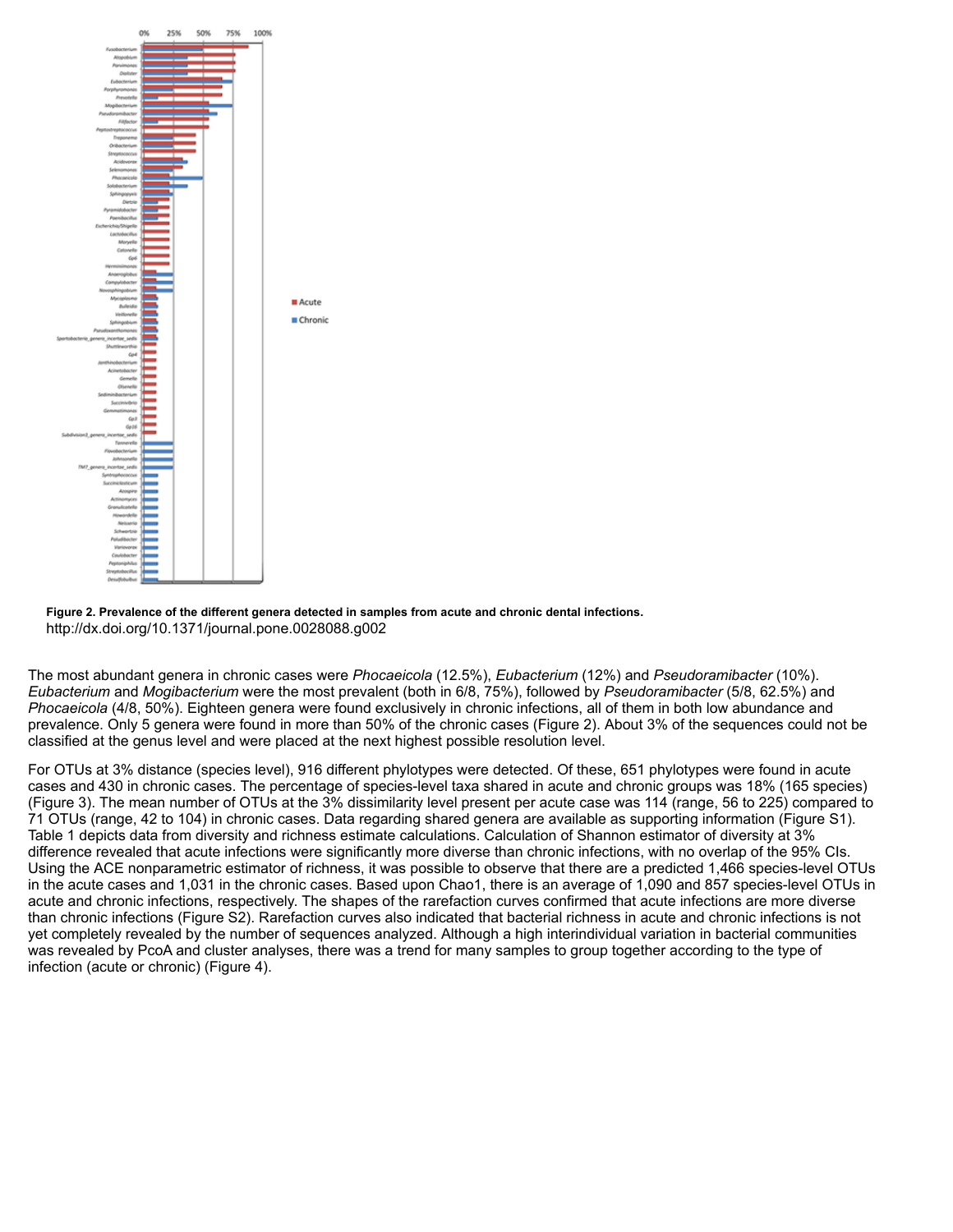



The most abundant genera in chronic cases were *Phocaeicola* (12.5%), *Eubacterium* (12%) and *Pseudoramibacter* (10%). *Eubacterium* and *Mogibacterium* were the most prevalent (both in 6/8, 75%), followed by *Pseudoramibacter* (5/8, 62.5%) and *Phocaeicola* (4/8, 50%). Eighteen genera were found exclusively in chronic infections, all of them in both low abundance and prevalence. Only 5 genera were found in more than 50% of the chronic cases ([Figure 2](http://journals.plos.org/plosone/article?id=10.1371/journal.pone.0028088#pone-0028088-g002)). About 3% of the sequences could not be classified at the genus level and were placed at the next highest possible resolution level.

For OTUs at 3% distance (species level), 916 different phylotypes were detected. Of these, 651 phylotypes were found in acute cases and 430 in chronic cases. The percentage of species-level taxa shared in acute and chronic groups was 18% (165 species) [\(Figure 3\)](http://journals.plos.org/plosone/article?id=10.1371/journal.pone.0028088#pone-0028088-g003). The mean number of OTUs at the 3% dissimilarity level present per acute case was 114 (range, 56 to 225) compared to 71 OTUs (range, 42 to 104) in chronic cases. Data regarding shared genera are available as supporting information [\(Figure S1\)](http://journals.plos.org/plosone/article?id=10.1371/journal.pone.0028088#pone.0028088.s001). [Table 1](http://journals.plos.org/plosone/article?id=10.1371/journal.pone.0028088#pone-0028088-t001) depicts data from diversity and richness estimate calculations. Calculation of Shannon estimator of diversity at 3% difference revealed that acute infections were significantly more diverse than chronic infections, with no overlap of the 95% CIs. Using the ACE nonparametric estimator of richness, it was possible to observe that there are a predicted 1,466 species-level OTUs in the acute cases and 1,031 in the chronic cases. Based upon Chao1, there is an average of 1,090 and 857 species-level OTUs in acute and chronic infections, respectively. The shapes of the rarefaction curves confirmed that acute infections are more diverse than chronic infections [\(Figure S2](http://journals.plos.org/plosone/article?id=10.1371/journal.pone.0028088#pone.0028088.s002)). Rarefaction curves also indicated that bacterial richness in acute and chronic infections is not yet completely revealed by the number of sequences analyzed. Although a high interindividual variation in bacterial communities was revealed by PcoA and cluster analyses, there was a trend for many samples to group together according to the type of infection (acute or chronic) [\(Figure 4](http://journals.plos.org/plosone/article?id=10.1371/journal.pone.0028088#pone-0028088-g004)).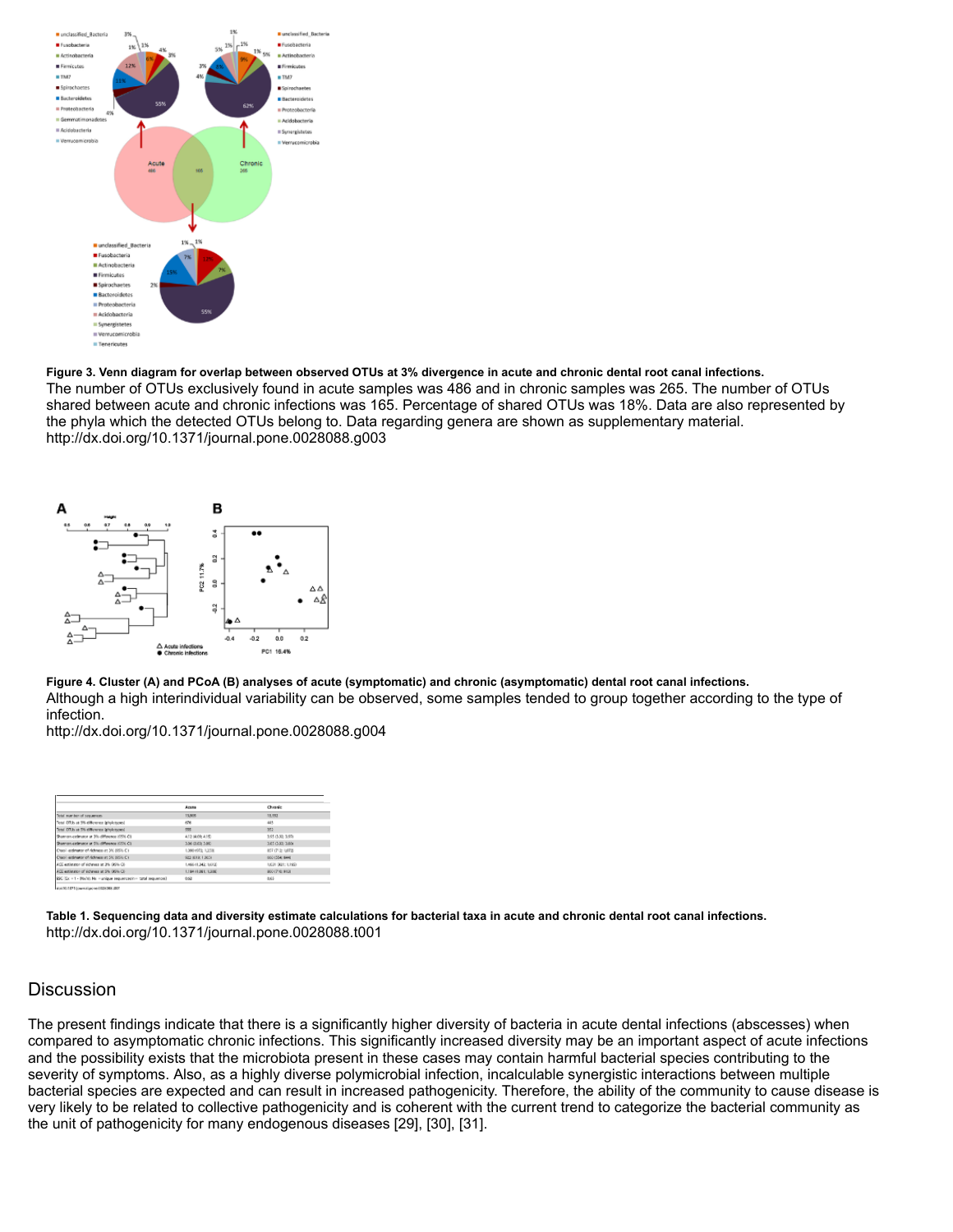

#### **Figure 3. Venn diagram for overlap between observed OTUs at 3% divergence in acute and chronic dental root canal infections.** The number of OTUs exclusively found in acute samples was 486 and in chronic samples was 265. The number of OTUs shared between acute and chronic infections was 165. Percentage of shared OTUs was 18%. Data are also represented by the phyla which the detected OTUs belong to. Data regarding genera are shown as supplementary material. <http://dx.doi.org/10.1371/journal.pone.0028088.g003>



**Figure 4. Cluster (A) and PCoA (B) analyses of acute (symptomatic) and chronic (asymptomatic) dental root canal infections.** Although a high interindividual variability can be observed, some samples tended to group together according to the type of infection.

<http://dx.doi.org/10.1371/journal.pone.0028088.g004>

|                                                                    | <b>Acuse</b>        | Cheanic            |
|--------------------------------------------------------------------|---------------------|--------------------|
| Total manitor of sequences.                                        | 15,805              | 13,552             |
| Test OTA at 5% difference ipholotuped                              | 676                 | 445                |
| Tend OTUs at 5% difference iphotonicani                            | 555                 | 382                |
| Shamon colorator at 3% difference (15% C)                          | 412 (409, 415)      | 195 (5.32, 5.97)   |
| Shamon extinator at Six difference (65% Ci)                        | 3.56 (1.65; 3.86)   | 3.65 (3.83) 3.804  |
| Chaol estimator of richness at 3% (95% C)                          | L080 (972) 1,253    | 837 (712) 1,072    |
| Chaoli estimator of richness at 5% BS% C1                          | 923 848-13654       | 600 (554) 6440     |
| ACC estimator of determining 2% (\$9% Ci-                          | 1,466 (1,342-1,613) | 1,031 (831: 1,165) |
| ACE estimator of scheen at 2% (89% Ci-                             | 121411-001: 1200    | 800 (710: 912)     |
| ESC (Cx = 1 - Black); No - unlease sequences(n - catal sequences). | 0.52                | 8,45               |

**Table 1. Sequencing data and diversity estimate calculations for bacterial taxa in acute and chronic dental root canal infections.** <http://dx.doi.org/10.1371/journal.pone.0028088.t001>

## **Discussion**

The present findings indicate that there is a significantly higher diversity of bacteria in acute dental infections (abscesses) when compared to asymptomatic chronic infections. This significantly increased diversity may be an important aspect of acute infections and the possibility exists that the microbiota present in these cases may contain harmful bacterial species contributing to the severity of symptoms. Also, as a highly diverse polymicrobial infection, incalculable synergistic interactions between multiple bacterial species are expected and can result in increased pathogenicity. Therefore, the ability of the community to cause disease is very likely to be related to collective pathogenicity and is coherent with the current trend to categorize the bacterial community as the unit of pathogenicity for many endogenous diseases [\[29\],](http://journals.plos.org/plosone/article?id=10.1371/journal.pone.0028088#pone.0028088-Siqueira7) [\[30\],](http://journals.plos.org/plosone/article?id=10.1371/journal.pone.0028088#pone.0028088-Kuramitsu1) [\[31\].](http://journals.plos.org/plosone/article?id=10.1371/journal.pone.0028088#pone.0028088-Costerton1)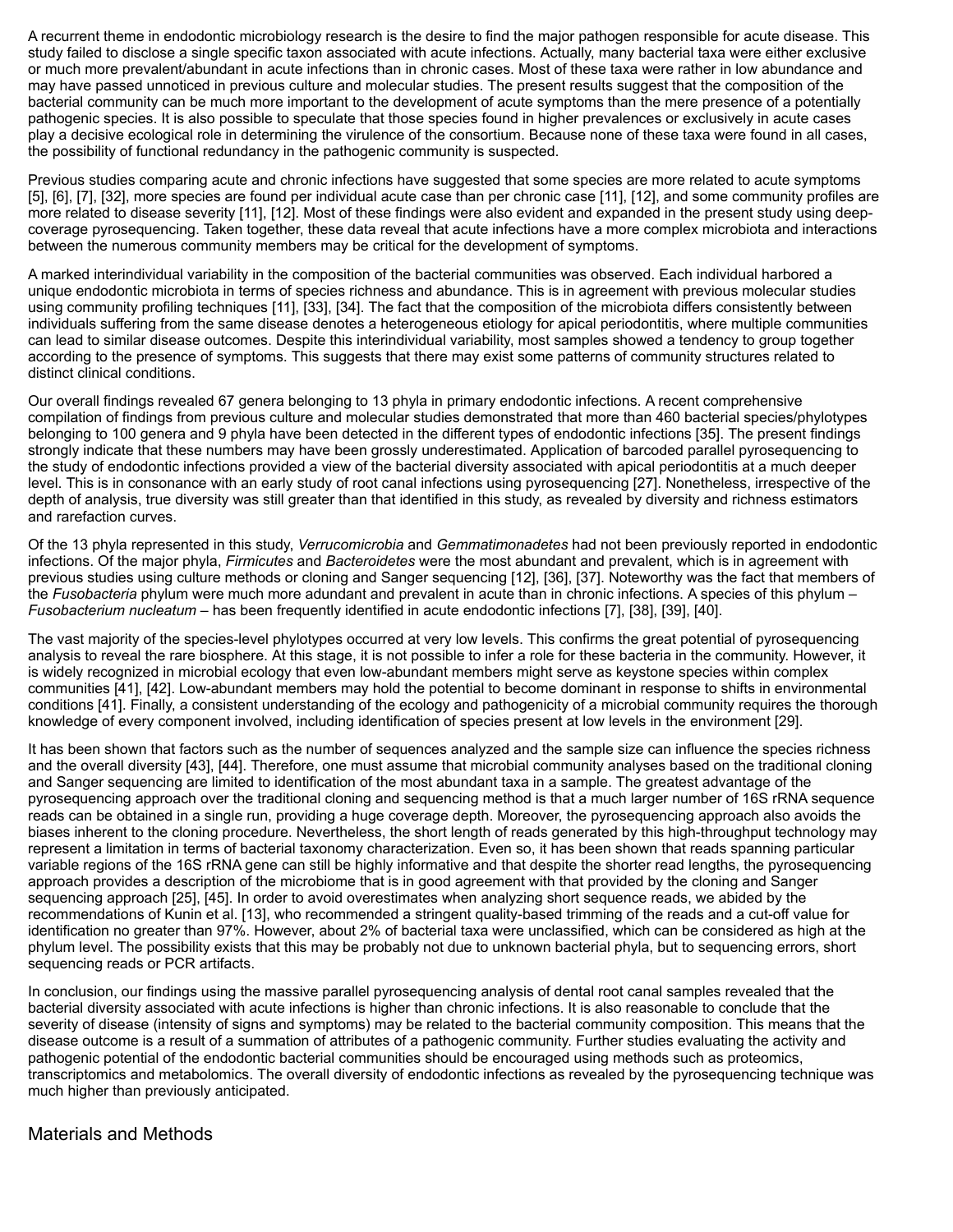A recurrent theme in endodontic microbiology research is the desire to find the major pathogen responsible for acute disease. This study failed to disclose a single specific taxon associated with acute infections. Actually, many bacterial taxa were either exclusive or much more prevalent/abundant in acute infections than in chronic cases. Most of these taxa were rather in low abundance and may have passed unnoticed in previous culture and molecular studies. The present results suggest that the composition of the bacterial community can be much more important to the development of acute symptoms than the mere presence of a potentially pathogenic species. It is also possible to speculate that those species found in higher prevalences or exclusively in acute cases play a decisive ecological role in determining the virulence of the consortium. Because none of these taxa were found in all cases, the possibility of functional redundancy in the pathogenic community is suspected.

Previous studies comparing acute and chronic infections have suggested that some species are more related to acute symptoms [\[5\],](http://journals.plos.org/plosone/article?id=10.1371/journal.pone.0028088#pone.0028088-Sundqvist1) [\[6\]](http://journals.plos.org/plosone/article?id=10.1371/journal.pone.0028088#pone.0028088-Gomes1), [\[7\],](http://journals.plos.org/plosone/article?id=10.1371/journal.pone.0028088#pone.0028088-Siqueira3) [\[32\],](http://journals.plos.org/plosone/article?id=10.1371/journal.pone.0028088#pone.0028088-Haapasalo1) more species are found per individual acute case than per chronic case [\[11\],](http://journals.plos.org/plosone/article?id=10.1371/journal.pone.0028088#pone.0028088-Siqueira5) [\[12\]](http://journals.plos.org/plosone/article?id=10.1371/journal.pone.0028088#pone.0028088-Sakamoto1), and some community profiles are more related to disease severity [\[11\],](http://journals.plos.org/plosone/article?id=10.1371/journal.pone.0028088#pone.0028088-Siqueira5) [\[12\].](http://journals.plos.org/plosone/article?id=10.1371/journal.pone.0028088#pone.0028088-Sakamoto1) Most of these findings were also evident and expanded in the present study using deepcoverage pyrosequencing. Taken together, these data reveal that acute infections have a more complex microbiota and interactions between the numerous community members may be critical for the development of symptoms.

A marked interindividual variability in the composition of the bacterial communities was observed. Each individual harbored a unique endodontic microbiota in terms of species richness and abundance. This is in agreement with previous molecular studies using community profiling techniques [\[11\],](http://journals.plos.org/plosone/article?id=10.1371/journal.pone.0028088#pone.0028088-Siqueira5) [\[33\],](http://journals.plos.org/plosone/article?id=10.1371/journal.pone.0028088#pone.0028088-Siqueira8) [\[34\]](http://journals.plos.org/plosone/article?id=10.1371/journal.pone.0028088#pone.0028088-MachadodeOliveira1). The fact that the composition of the microbiota differs consistently between individuals suffering from the same disease denotes a heterogeneous etiology for apical periodontitis, where multiple communities can lead to similar disease outcomes. Despite this interindividual variability, most samples showed a tendency to group together according to the presence of symptoms. This suggests that there may exist some patterns of community structures related to distinct clinical conditions.

Our overall findings revealed 67 genera belonging to 13 phyla in primary endodontic infections. A recent comprehensive compilation of findings from previous culture and molecular studies demonstrated that more than 460 bacterial species/phylotypes belonging to 100 genera and 9 phyla have been detected in the different types of endodontic infections [\[35\].](http://journals.plos.org/plosone/article?id=10.1371/journal.pone.0028088#pone.0028088-Siqueira9) The present findings strongly indicate that these numbers may have been grossly underestimated. Application of barcoded parallel pyrosequencing to the study of endodontic infections provided a view of the bacterial diversity associated with apical periodontitis at a much deeper level. This is in consonance with an early study of root canal infections using pyrosequencing [\[27\]](http://journals.plos.org/plosone/article?id=10.1371/journal.pone.0028088#pone.0028088-Li1). Nonetheless, irrespective of the depth of analysis, true diversity was still greater than that identified in this study, as revealed by diversity and richness estimators and rarefaction curves.

Of the 13 phyla represented in this study, *Verrucomicrobia* and *Gemmatimonadetes* had not been previously reported in endodontic infections. Of the major phyla, *Firmicutes* and *Bacteroidetes* were the most abundant and prevalent, which is in agreement with previous studies using culture methods or cloning and Sanger sequencing [\[12\]](http://journals.plos.org/plosone/article?id=10.1371/journal.pone.0028088#pone.0028088-Sakamoto1), [\[36\]](http://journals.plos.org/plosone/article?id=10.1371/journal.pone.0028088#pone.0028088-Sundqvist2), [\[37\]](http://journals.plos.org/plosone/article?id=10.1371/journal.pone.0028088#pone.0028088-Munson1). Noteworthy was the fact that members of the *Fusobacteria* phylum were much more adundant and prevalent in acute than in chronic infections. A species of this phylum – *Fusobacterium nucleatum* – has been frequently identified in acute endodontic infections [\[7\]](http://journals.plos.org/plosone/article?id=10.1371/journal.pone.0028088#pone.0028088-Siqueira3), [\[38\]](http://journals.plos.org/plosone/article?id=10.1371/journal.pone.0028088#pone.0028088-ChavezdePaz1), [\[39\],](http://journals.plos.org/plosone/article?id=10.1371/journal.pone.0028088#pone.0028088-Williams1) [\[40\].](http://journals.plos.org/plosone/article?id=10.1371/journal.pone.0028088#pone.0028088-Sundqvist3)

The vast majority of the species-level phylotypes occurred at very low levels. This confirms the great potential of pyrosequencing analysis to reveal the rare biosphere. At this stage, it is not possible to infer a role for these bacteria in the community. However, it is widely recognized in microbial ecology that even low-abundant members might serve as keystone species within complex communities [\[41\]](http://journals.plos.org/plosone/article?id=10.1371/journal.pone.0028088#pone.0028088-Sogin2), [\[42\].](http://journals.plos.org/plosone/article?id=10.1371/journal.pone.0028088#pone.0028088-Huse1) Low-abundant members may hold the potential to become dominant in response to shifts in environmental conditions [\[41\].](http://journals.plos.org/plosone/article?id=10.1371/journal.pone.0028088#pone.0028088-Sogin2) Finally, a consistent understanding of the ecology and pathogenicity of a microbial community requires the thorough knowledge of every component involved, including identification of species present at low levels in the environment [\[29\]](http://journals.plos.org/plosone/article?id=10.1371/journal.pone.0028088#pone.0028088-Siqueira7).

It has been shown that factors such as the number of sequences analyzed and the sample size can influence the species richness and the overall diversity [\[43\]](http://journals.plos.org/plosone/article?id=10.1371/journal.pone.0028088#pone.0028088-Schloss1), [\[44\]](http://journals.plos.org/plosone/article?id=10.1371/journal.pone.0028088#pone.0028088-RajilicStojanovic1). Therefore, one must assume that microbial community analyses based on the traditional cloning and Sanger sequencing are limited to identification of the most abundant taxa in a sample. The greatest advantage of the pyrosequencing approach over the traditional cloning and sequencing method is that a much larger number of 16S rRNA sequence reads can be obtained in a single run, providing a huge coverage depth. Moreover, the pyrosequencing approach also avoids the biases inherent to the cloning procedure. Nevertheless, the short length of reads generated by this high-throughput technology may represent a limitation in terms of bacterial taxonomy characterization. Even so, it has been shown that reads spanning particular variable regions of the 16S rRNA gene can still be highly informative and that despite the shorter read lengths, the pyrosequencing approach provides a description of the microbiome that is in good agreement with that provided by the cloning and Sanger sequencing approach [\[25\]](http://journals.plos.org/plosone/article?id=10.1371/journal.pone.0028088#pone.0028088-Nasidze1), [\[45\]](http://journals.plos.org/plosone/article?id=10.1371/journal.pone.0028088#pone.0028088-Huse2). In order to avoid overestimates when analyzing short sequence reads, we abided by the recommendations of Kunin et al. [\[13\]](http://journals.plos.org/plosone/article?id=10.1371/journal.pone.0028088#pone.0028088-Kunin1), who recommended a stringent quality-based trimming of the reads and a cut-off value for identification no greater than 97%. However, about 2% of bacterial taxa were unclassified, which can be considered as high at the phylum level. The possibility exists that this may be probably not due to unknown bacterial phyla, but to sequencing errors, short sequencing reads or PCR artifacts.

In conclusion, our findings using the massive parallel pyrosequencing analysis of dental root canal samples revealed that the bacterial diversity associated with acute infections is higher than chronic infections. It is also reasonable to conclude that the severity of disease (intensity of signs and symptoms) may be related to the bacterial community composition. This means that the disease outcome is a result of a summation of attributes of a pathogenic community. Further studies evaluating the activity and pathogenic potential of the endodontic bacterial communities should be encouraged using methods such as proteomics, transcriptomics and metabolomics. The overall diversity of endodontic infections as revealed by the pyrosequencing technique was much higher than previously anticipated.

## Materials and Methods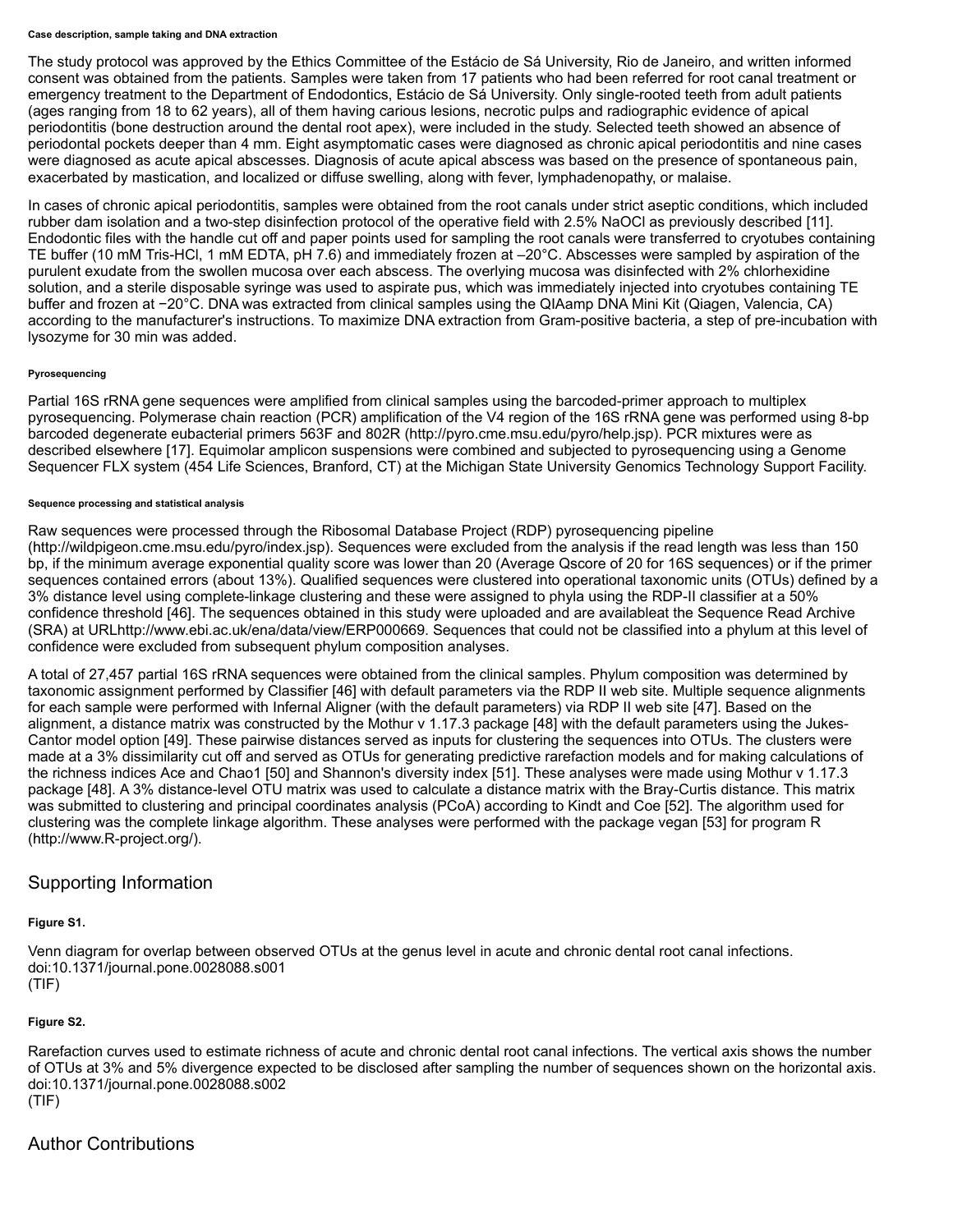#### **Case description, sample taking and DNA extraction**

The study protocol was approved by the Ethics Committee of the Estácio de Sá University, Rio de Janeiro, and written informed consent was obtained from the patients. Samples were taken from 17 patients who had been referred for root canal treatment or emergency treatment to the Department of Endodontics, Estácio de Sá University. Only single-rooted teeth from adult patients (ages ranging from 18 to 62 years), all of them having carious lesions, necrotic pulps and radiographic evidence of apical periodontitis (bone destruction around the dental root apex), were included in the study. Selected teeth showed an absence of periodontal pockets deeper than 4 mm. Eight asymptomatic cases were diagnosed as chronic apical periodontitis and nine cases were diagnosed as acute apical abscesses. Diagnosis of acute apical abscess was based on the presence of spontaneous pain, exacerbated by mastication, and localized or diffuse swelling, along with fever, lymphadenopathy, or malaise.

In cases of chronic apical periodontitis, samples were obtained from the root canals under strict aseptic conditions, which included rubber dam isolation and a two-step disinfection protocol of the operative field with 2.5% NaOCl as previously described [\[11\]](http://journals.plos.org/plosone/article?id=10.1371/journal.pone.0028088#pone.0028088-Siqueira5). Endodontic files with the handle cut off and paper points used for sampling the root canals were transferred to cryotubes containing TE buffer (10 mM Tris-HCl, 1 mM EDTA, pH 7.6) and immediately frozen at –20°C. Abscesses were sampled by aspiration of the purulent exudate from the swollen mucosa over each abscess. The overlying mucosa was disinfected with 2% chlorhexidine solution, and a sterile disposable syringe was used to aspirate pus, which was immediately injected into cryotubes containing TE buffer and frozen at −20°C. DNA was extracted from clinical samples using the QIAamp DNA Mini Kit (Qiagen, Valencia, CA) according to the manufacturer's instructions. To maximize DNA extraction from Gram-positive bacteria, a step of pre-incubation with lysozyme for 30 min was added.

#### **Pyrosequencing**

Partial 16S rRNA gene sequences were amplified from clinical samples using the barcoded-primer approach to multiplex pyrosequencing. Polymerase chain reaction (PCR) amplification of the V4 region of the 16S rRNA gene was performed using 8-bp barcoded degenerate eubacterial primers 563F and 802R [\(http://pyro.cme.msu.edu/pyro/help.jsp\)](http://pyro.cme.msu.edu/pyro/help.jsp). PCR mixtures were as described elsewhere [\[17\].](http://journals.plos.org/plosone/article?id=10.1371/journal.pone.0028088#pone.0028088-Teixeira1) Equimolar amplicon suspensions were combined and subjected to pyrosequencing using a Genome Sequencer FLX system (454 Life Sciences, Branford, CT) at the Michigan State University Genomics Technology Support Facility.

#### **Sequence processing and statistical analysis**

Raw sequences were processed through the Ribosomal Database Project (RDP) pyrosequencing pipeline [\(http://wildpigeon.cme.msu.edu/pyro/index.jsp\)](http://wildpigeon.cme.msu.edu/pyro/index.jsp). Sequences were excluded from the analysis if the read length was less than 150 bp, if the minimum average exponential quality score was lower than 20 (Average Qscore of 20 for 16S sequences) or if the primer sequences contained errors (about 13%). Qualified sequences were clustered into operational taxonomic units (OTUs) defined by a 3% distance level using complete-linkage clustering and these were assigned to phyla using the RDP-II classifier at a 50% confidence threshold [\[46\]](http://journals.plos.org/plosone/article?id=10.1371/journal.pone.0028088#pone.0028088-Wang1). The sequences obtained in this study were uploaded and are availableat the Sequence Read Archive (SRA) at URLhttp:/[/www.ebi.ac.uk/ena/data/view/ERP000669](http://www.ebi.ac.uk/ena/data/view/ERP000669). Sequences that could not be classified into a phylum at this level of confidence were excluded from subsequent phylum composition analyses.

A total of 27,457 partial 16S rRNA sequences were obtained from the clinical samples. Phylum composition was determined by taxonomic assignment performed by Classifier [\[46\]](http://journals.plos.org/plosone/article?id=10.1371/journal.pone.0028088#pone.0028088-Wang1) with default parameters via the RDP II web site. Multiple sequence alignments for each sample were performed with Infernal Aligner (with the default parameters) via RDP II web site [\[47\]](http://journals.plos.org/plosone/article?id=10.1371/journal.pone.0028088#pone.0028088-Cole1). Based on the alignment, a distance matrix was constructed by the Mothur v 1.17.3 package [\[48\]](http://journals.plos.org/plosone/article?id=10.1371/journal.pone.0028088#pone.0028088-Schloss2) with the default parameters using the Jukes-Cantor model option [\[49\].](http://journals.plos.org/plosone/article?id=10.1371/journal.pone.0028088#pone.0028088-Jukes1) These pairwise distances served as inputs for clustering the sequences into OTUs. The clusters were made at a 3% dissimilarity cut off and served as OTUs for generating predictive rarefaction models and for making calculations of the richness indices Ace and Chao1 [\[50\]](http://journals.plos.org/plosone/article?id=10.1371/journal.pone.0028088#pone.0028088-Chao1) and Shannon's diversity index [\[51\].](http://journals.plos.org/plosone/article?id=10.1371/journal.pone.0028088#pone.0028088-Shannon1) These analyses were made using Mothur v 1.17.3 package [\[48\].](http://journals.plos.org/plosone/article?id=10.1371/journal.pone.0028088#pone.0028088-Schloss2) A 3% distance-level OTU matrix was used to calculate a distance matrix with the Bray-Curtis distance. This matrix was submitted to clustering and principal coordinates analysis (PCoA) according to Kindt and Coe [\[52\].](http://journals.plos.org/plosone/article?id=10.1371/journal.pone.0028088#pone.0028088-Kindt1) The algorithm used for clustering was the complete linkage algorithm. These analyses were performed with the package vegan [\[53\]](http://journals.plos.org/plosone/article?id=10.1371/journal.pone.0028088#pone.0028088-Oksanen1) for program R [\(http://www.R-project.org/](http://www.r-project.org/)).

## Supporting Information

### **[Figure S1.](http://journals.plos.org/plosone/article/file?type=supplementary&id=info:doi/10.1371/journal.pone.0028088.s001)**

Venn diagram for overlap between observed OTUs at the genus level in acute and chronic dental root canal infections. doi:10.1371/journal.pone.0028088.s001 (TIF)

### **[Figure S2.](http://journals.plos.org/plosone/article/file?type=supplementary&id=info:doi/10.1371/journal.pone.0028088.s002)**

Rarefaction curves used to estimate richness of acute and chronic dental root canal infections. The vertical axis shows the number of OTUs at 3% and 5% divergence expected to be disclosed after sampling the number of sequences shown on the horizontal axis. doi:10.1371/journal.pone.0028088.s002 (TIF)

# Author Contributions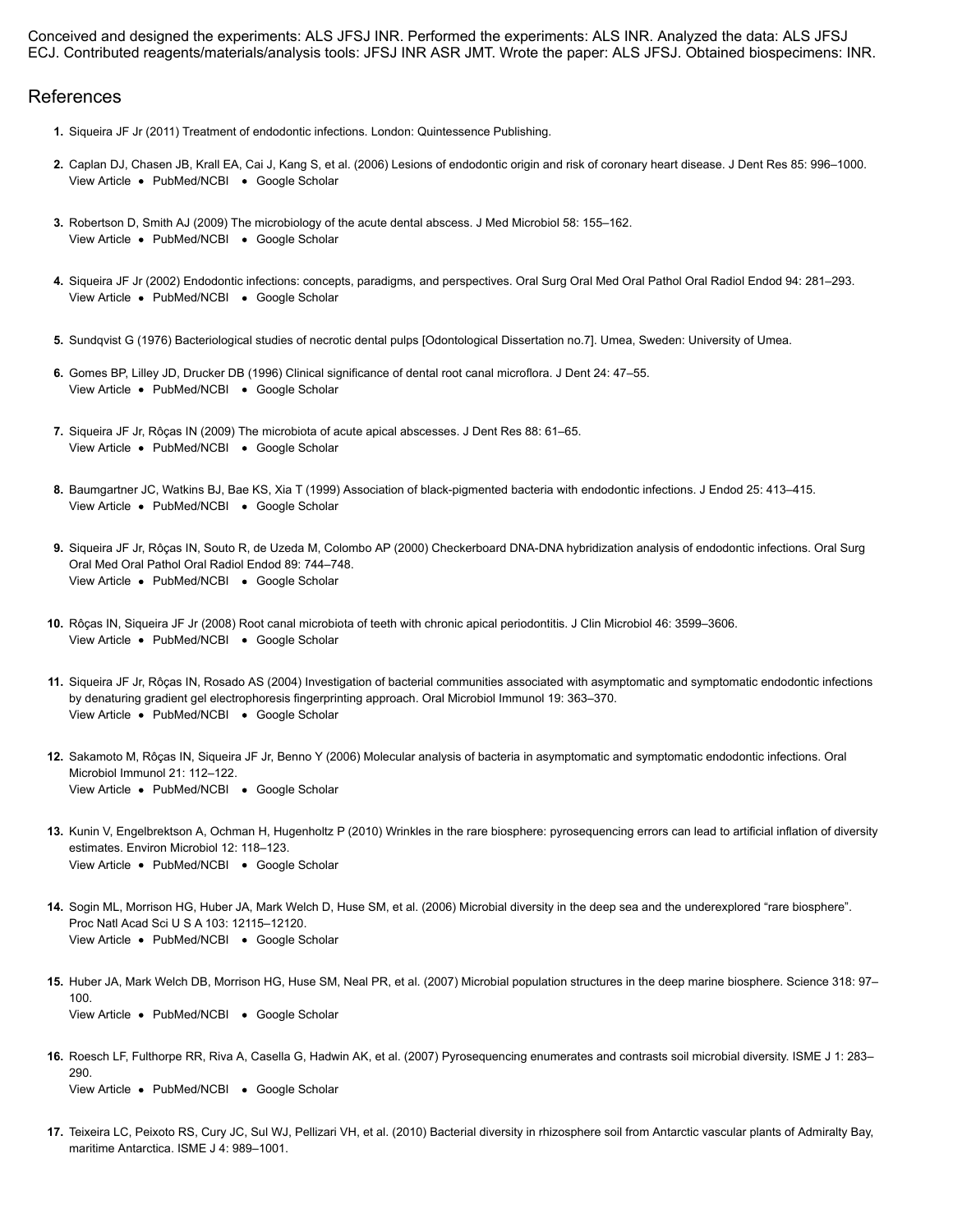Conceived and designed the experiments: ALS JFSJ INR. Performed the experiments: ALS INR. Analyzed the data: ALS JFSJ ECJ. Contributed reagents/materials/analysis tools: JFSJ INR ASR JMT. Wrote the paper: ALS JFSJ. Obtained biospecimens: INR.

### References

- **1.** Siqueira JF Jr (2011) Treatment of endodontic infections. London: Quintessence Publishing.
- [View Article](http://journals.plos.org/plosone/article?id=10.1371/journal.pone.0028088#) . [PubMed/NCBI](http://www.ncbi.nlm.nih.gov/entrez/query.fcgi?db=PubMed&cmd=Search&doptcmdl=Citation&defaultField=Title+Word&term=Caplan%5Bauthor%5D+AND+Lesions+of+endodontic+origin+and+risk+of+coronary+heart+disease.) . [Google Scholar](http://scholar.google.com/scholar_lookup?title=Lesions+of+endodontic+origin+and+risk+of+coronary+heart+disease.&author=Caplan&publication_year=2006) **2.** Caplan DJ, Chasen JB, Krall EA, Cai J, Kang S, et al. (2006) Lesions of endodontic origin and risk of coronary heart disease. J Dent Res 85: 996–1000.
- [View Article](http://journals.plos.org/plosone/article?id=10.1371/journal.pone.0028088#) · [PubMed/NCBI](http://www.ncbi.nlm.nih.gov/entrez/query.fcgi?db=PubMed&cmd=Search&doptcmdl=Citation&defaultField=Title+Word&term=Robertson%5Bauthor%5D+AND+The+microbiology+of+the+acute+dental+abscess.) · [Google Scholar](http://scholar.google.com/scholar_lookup?title=The+microbiology+of+the+acute+dental+abscess.&author=Robertson&publication_year=2009) **3.** Robertson D, Smith AJ (2009) The microbiology of the acute dental abscess. J Med Microbiol 58: 155–162.
- [View Article](http://journals.plos.org/plosone/article?id=10.1371/journal.pone.0028088#) · [PubMed/NCBI](http://www.ncbi.nlm.nih.gov/entrez/query.fcgi?db=PubMed&cmd=Search&doptcmdl=Citation&defaultField=Title+Word&term=Siqueira%5Bauthor%5D+AND+Endodontic+infections%3A+concepts%2C+paradigms%2C+and+perspectives.) · [Google Scholar](http://scholar.google.com/scholar_lookup?title=Endodontic+infections%3A+concepts%2C+paradigms%2C+and+perspectives.&author=Siqueira&publication_year=2002) **4.** Siqueira JF Jr (2002) Endodontic infections: concepts, paradigms, and perspectives. Oral Surg Oral Med Oral Pathol Oral Radiol Endod 94: 281–293.
- **5.** Sundqvist G (1976) Bacteriological studies of necrotic dental pulps [Odontological Dissertation no.7]. Umea, Sweden: University of Umea.
- [View Article](http://journals.plos.org/plosone/article?id=10.1371/journal.pone.0028088#) [PubMed/NCBI](http://www.ncbi.nlm.nih.gov/entrez/query.fcgi?db=PubMed&cmd=Search&doptcmdl=Citation&defaultField=Title+Word&term=Gomes%5Bauthor%5D+AND+Clinical+significance+of+dental+root+canal+microflora.) [Google Scholar](http://scholar.google.com/scholar_lookup?title=Clinical+significance+of+dental+root+canal+microflora.&author=Gomes&publication_year=1996) **6.** Gomes BP, Lilley JD, Drucker DB (1996) Clinical significance of dental root canal microflora. J Dent 24: 47–55.
- [View Article](http://journals.plos.org/plosone/article?id=10.1371/journal.pone.0028088#) [PubMed/NCBI](http://www.ncbi.nlm.nih.gov/entrez/query.fcgi?db=PubMed&cmd=Search&doptcmdl=Citation&defaultField=Title+Word&term=Siqueira%5Bauthor%5D+AND+The+microbiota+of+acute+apical+abscesses.) [Google Scholar](http://scholar.google.com/scholar_lookup?title=The+microbiota+of+acute+apical+abscesses.&author=Siqueira&publication_year=2009) **7.** Siqueira JF Jr, Rôças IN (2009) The microbiota of acute apical abscesses. J Dent Res 88: 61–65.
- [View Article](http://journals.plos.org/plosone/article?id=10.1371/journal.pone.0028088#) · [PubMed/NCBI](http://www.ncbi.nlm.nih.gov/entrez/query.fcgi?db=PubMed&cmd=Search&doptcmdl=Citation&defaultField=Title+Word&term=Baumgartner%5Bauthor%5D+AND+Association+of+black-pigmented+bacteria+with+endodontic+infections.) · [Google Scholar](http://scholar.google.com/scholar_lookup?title=Association+of+black-pigmented+bacteria+with+endodontic+infections.&author=Baumgartner&publication_year=1999) **8.** Baumgartner JC, Watkins BJ, Bae KS, Xia T (1999) Association of black-pigmented bacteria with endodontic infections. J Endod 25: 413–415.
- [View Article](http://journals.plos.org/plosone/article?id=10.1371/journal.pone.0028088#) · [PubMed/NCBI](http://www.ncbi.nlm.nih.gov/entrez/query.fcgi?db=PubMed&cmd=Search&doptcmdl=Citation&defaultField=Title+Word&term=Siqueira%5Bauthor%5D+AND+Checkerboard+DNA-DNA+hybridization+analysis+of+endodontic+infections.) · [Google Scholar](http://scholar.google.com/scholar_lookup?title=Checkerboard+DNA-DNA+hybridization+analysis+of+endodontic+infections.&author=Siqueira&publication_year=2000) **9.** Siqueira JF Jr, Rôças IN, Souto R, de Uzeda M, Colombo AP (2000) Checkerboard DNA-DNA hybridization analysis of endodontic infections. Oral Surg Oral Med Oral Pathol Oral Radiol Endod 89: 744–748.
- [View Article](http://journals.plos.org/plosone/article?id=10.1371/journal.pone.0028088#) [PubMed/NCBI](http://www.ncbi.nlm.nih.gov/entrez/query.fcgi?db=PubMed&cmd=Search&doptcmdl=Citation&defaultField=Title+Word&term=R%C3%B4%C3%A7as%5Bauthor%5D+AND+Root+canal+microbiota+of+teeth+with+chronic+apical+periodontitis.) [Google Scholar](http://scholar.google.com/scholar_lookup?title=Root+canal+microbiota+of+teeth+with+chronic+apical+periodontitis.&author=R%C3%B4%C3%A7as&publication_year=2008) **10.** Rôças IN, Siqueira JF Jr (2008) Root canal microbiota of teeth with chronic apical periodontitis. J Clin Microbiol 46: 3599–3606.
- [View Article](http://journals.plos.org/plosone/article?id=10.1371/journal.pone.0028088#) · [PubMed/NCBI](http://www.ncbi.nlm.nih.gov/entrez/query.fcgi?db=PubMed&cmd=Search&doptcmdl=Citation&defaultField=Title+Word&term=Siqueira%5Bauthor%5D+AND+Investigation+of+bacterial+communities+associated+with+asymptomatic+and+symptomatic+endodontic+infections+by+denaturing+gradient+gel+electrophoresis+fingerprinting+approach.) · [Google Scholar](http://scholar.google.com/scholar_lookup?title=Investigation+of+bacterial+communities+associated+with+asymptomatic+and+symptomatic+endodontic+infections+by+denaturing+gradient+gel+electrophoresis+fingerprinting+approach.&author=Siqueira&publication_year=2004) **11.** Siqueira JF Jr, Rôças IN, Rosado AS (2004) Investigation of bacterial communities associated with asymptomatic and symptomatic endodontic infections by denaturing gradient gel electrophoresis fingerprinting approach. Oral Microbiol Immunol 19: 363–370.
- [View Article](http://journals.plos.org/plosone/article?id=10.1371/journal.pone.0028088#) · [PubMed/NCBI](http://www.ncbi.nlm.nih.gov/entrez/query.fcgi?db=PubMed&cmd=Search&doptcmdl=Citation&defaultField=Title+Word&term=Sakamoto%5Bauthor%5D+AND+Molecular+analysis+of+bacteria+in+asymptomatic+and+symptomatic+endodontic+infections.) · [Google Scholar](http://scholar.google.com/scholar_lookup?title=Molecular+analysis+of+bacteria+in+asymptomatic+and+symptomatic+endodontic+infections.&author=Sakamoto&publication_year=2006) **12.** Sakamoto M, Rôças IN, Siqueira JF Jr, Benno Y (2006) Molecular analysis of bacteria in asymptomatic and symptomatic endodontic infections. Oral Microbiol Immunol 21: 112–122.
- [View Article](http://journals.plos.org/plosone/article?id=10.1371/journal.pone.0028088#) · [PubMed/NCBI](http://www.ncbi.nlm.nih.gov/entrez/query.fcgi?db=PubMed&cmd=Search&doptcmdl=Citation&defaultField=Title+Word&term=Kunin%5Bauthor%5D+AND+Wrinkles+in+the+rare+biosphere%3A+pyrosequencing+errors+can+lead+to+artificial+inflation+of+diversity+estimates.) · [Google Scholar](http://scholar.google.com/scholar_lookup?title=Wrinkles+in+the+rare+biosphere%3A+pyrosequencing+errors+can+lead+to+artificial+inflation+of+diversity+estimates.&author=Kunin&publication_year=2010) **13.** Kunin V, Engelbrektson A, Ochman H, Hugenholtz P (2010) Wrinkles in the rare biosphere: pyrosequencing errors can lead to artificial inflation of diversity estimates. Environ Microbiol 12: 118–123.
- [View Article](http://journals.plos.org/plosone/article?id=10.1371/journal.pone.0028088#) [PubMed/NCBI](http://www.ncbi.nlm.nih.gov/entrez/query.fcgi?db=PubMed&cmd=Search&doptcmdl=Citation&defaultField=Title+Word&term=Sogin%5Bauthor%5D+AND+Microbial+diversity+in+the+deep+sea+and+the+underexplored+%E2%80%9Crare+biosphere%E2%80%9D.) [Google Scholar](http://scholar.google.com/scholar_lookup?title=Microbial+diversity+in+the+deep+sea+and+the+underexplored+%E2%80%9Crare+biosphere%E2%80%9D.&author=Sogin&publication_year=2006) **14.** Sogin ML, Morrison HG, Huber JA, Mark Welch D, Huse SM, et al. (2006) Microbial diversity in the deep sea and the underexplored "rare biosphere". Proc Natl Acad Sci U S A 103: 12115–12120.
- [View Article](http://journals.plos.org/plosone/article?id=10.1371/journal.pone.0028088#) . [PubMed/NCBI](http://www.ncbi.nlm.nih.gov/entrez/query.fcgi?db=PubMed&cmd=Search&doptcmdl=Citation&defaultField=Title+Word&term=Huber%5Bauthor%5D+AND+Microbial+population+structures+in+the+deep+marine+biosphere.) . [Google Scholar](http://scholar.google.com/scholar_lookup?title=Microbial+population+structures+in+the+deep+marine+biosphere.&author=Huber&publication_year=2007) **15.** Huber JA, Mark Welch DB, Morrison HG, Huse SM, Neal PR, et al. (2007) Microbial population structures in the deep marine biosphere. Science 318: 97– 100.
- [View Article](http://journals.plos.org/plosone/article?id=10.1371/journal.pone.0028088#) [PubMed/NCBI](http://www.ncbi.nlm.nih.gov/entrez/query.fcgi?db=PubMed&cmd=Search&doptcmdl=Citation&defaultField=Title+Word&term=Roesch%5Bauthor%5D+AND+Pyrosequencing+enumerates+and+contrasts+soil+microbial+diversity.) [Google Scholar](http://scholar.google.com/scholar_lookup?title=Pyrosequencing+enumerates+and+contrasts+soil+microbial+diversity.&author=Roesch&publication_year=2007) **16.** Roesch LF, Fulthorpe RR, Riva A, Casella G, Hadwin AK, et al. (2007) Pyrosequencing enumerates and contrasts soil microbial diversity. ISME J 1: 283– 290.
- **17.** Teixeira LC, Peixoto RS, Cury JC, Sul WJ, Pellizari VH, et al. (2010) Bacterial diversity in rhizosphere soil from Antarctic vascular plants of Admiralty Bay, maritime Antarctica. ISME J 4: 989–1001.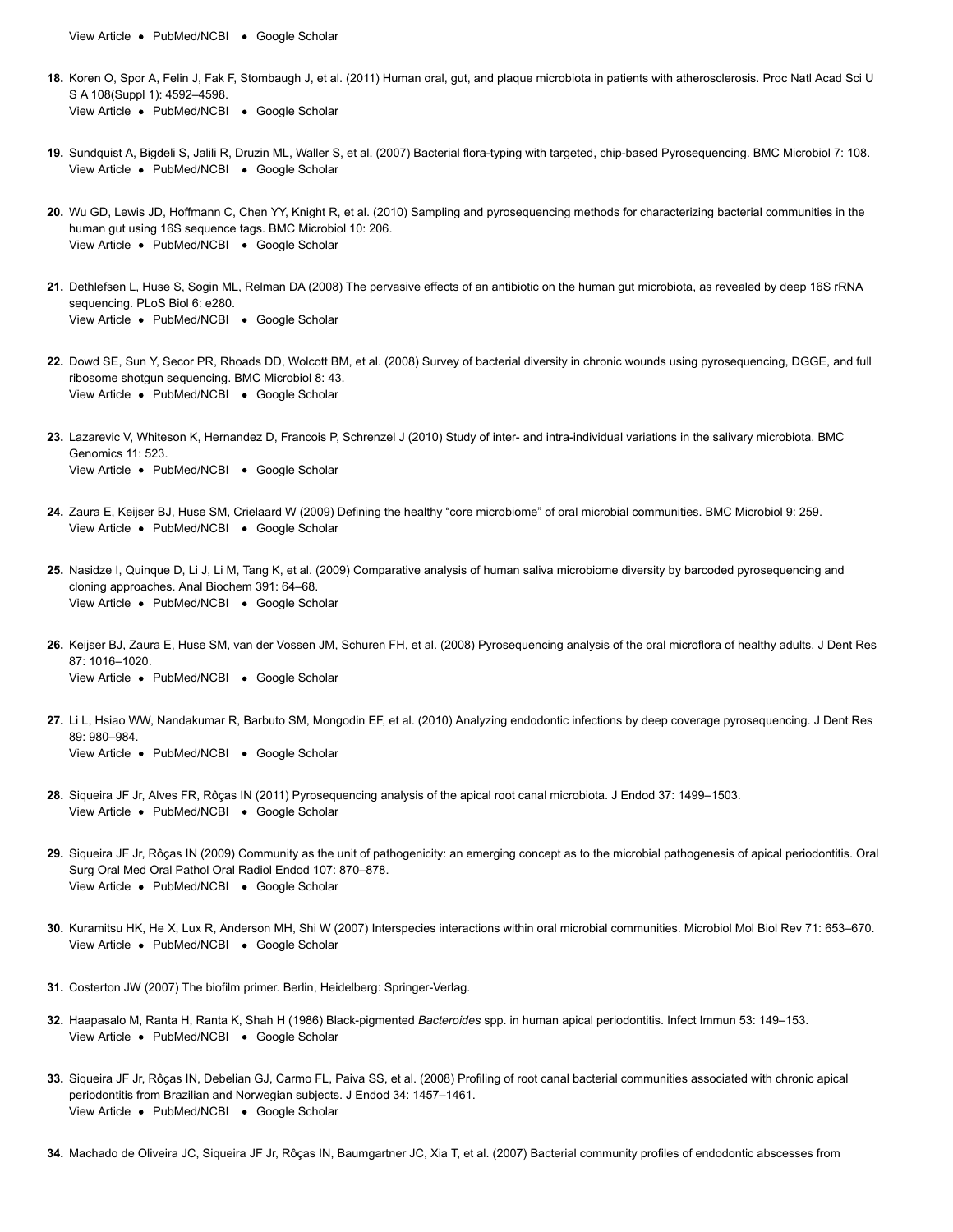[View Article](http://journals.plos.org/plosone/article?id=10.1371/journal.pone.0028088#) . [PubMed/NCBI](http://www.ncbi.nlm.nih.gov/entrez/query.fcgi?db=PubMed&cmd=Search&doptcmdl=Citation&defaultField=Title+Word&term=Teixeira%5Bauthor%5D+AND+Bacterial+diversity+in+rhizosphere+soil+from+Antarctic+vascular+plants+of+Admiralty+Bay%2C+maritime+Antarctica.) . [Google Scholar](http://scholar.google.com/scholar_lookup?title=Bacterial+diversity+in+rhizosphere+soil+from+Antarctic+vascular+plants+of+Admiralty+Bay%2C+maritime+Antarctica.&author=Teixeira&publication_year=2010)

- [View Article](http://journals.plos.org/plosone/article?id=10.1371/journal.pone.0028088#) [PubMed/NCBI](http://www.ncbi.nlm.nih.gov/entrez/query.fcgi?db=PubMed&cmd=Search&doptcmdl=Citation&defaultField=Title+Word&term=Koren%5Bauthor%5D+AND+Human+oral%2C+gut%2C+and+plaque+microbiota+in+patients+with+atherosclerosis.) [Google Scholar](http://scholar.google.com/scholar_lookup?title=Human+oral%2C+gut%2C+and+plaque+microbiota+in+patients+with+atherosclerosis.&author=Koren&publication_year=2011) **18.** Koren O, Spor A, Felin J, Fak F, Stombaugh J, et al. (2011) Human oral, gut, and plaque microbiota in patients with atherosclerosis. Proc Natl Acad Sci U S A 108(Suppl 1): 4592–4598.
- [View Article](http://journals.plos.org/plosone/article?id=10.1371/journal.pone.0028088#) · [PubMed/NCBI](http://www.ncbi.nlm.nih.gov/entrez/query.fcgi?db=PubMed&cmd=Search&doptcmdl=Citation&defaultField=Title+Word&term=Sundquist%5Bauthor%5D+AND+Bacterial+flora-typing+with+targeted%2C+chip-based+Pyrosequencing.) · [Google Scholar](http://scholar.google.com/scholar_lookup?title=Bacterial+flora-typing+with+targeted%2C+chip-based+Pyrosequencing.&author=Sundquist&publication_year=2007) **19.** Sundquist A, Bigdeli S, Jalili R, Druzin ML, Waller S, et al. (2007) Bacterial flora-typing with targeted, chip-based Pyrosequencing. BMC Microbiol 7: 108.
- [View Article](http://journals.plos.org/plosone/article?id=10.1371/journal.pone.0028088#) . [PubMed/NCBI](http://www.ncbi.nlm.nih.gov/entrez/query.fcgi?db=PubMed&cmd=Search&doptcmdl=Citation&defaultField=Title+Word&term=Wu%5Bauthor%5D+AND+Sampling+and+pyrosequencing+methods+for+characterizing+bacterial+communities+in+the+human+gut+using+16S+sequence+tags.) . [Google Scholar](http://scholar.google.com/scholar_lookup?title=Sampling+and+pyrosequencing+methods+for+characterizing+bacterial+communities+in+the+human+gut+using+16S+sequence+tags.&author=Wu&publication_year=2010) **20.** Wu GD, Lewis JD, Hoffmann C, Chen YY, Knight R, et al. (2010) Sampling and pyrosequencing methods for characterizing bacterial communities in the human gut using 16S sequence tags. BMC Microbiol 10: 206.
- [View Article](http://journals.plos.org/plosone/article?id=10.1371/journal.pone.0028088#) · [PubMed/NCBI](http://www.ncbi.nlm.nih.gov/entrez/query.fcgi?db=PubMed&cmd=Search&doptcmdl=Citation&defaultField=Title+Word&term=Dethlefsen%5Bauthor%5D+AND+The+pervasive+effects+of+an+antibiotic+on+the+human+gut+microbiota%2C+as+revealed+by+deep+16S+rRNA+sequencing.) · [Google Scholar](http://scholar.google.com/scholar_lookup?title=The+pervasive+effects+of+an+antibiotic+on+the+human+gut+microbiota%2C+as+revealed+by+deep+16S+rRNA+sequencing.&author=Dethlefsen&publication_year=2008) **21.** Dethlefsen L, Huse S, Sogin ML, Relman DA (2008) The pervasive effects of an antibiotic on the human gut microbiota, as revealed by deep 16S rRNA sequencing. PLoS Biol 6: e280.
- [View Article](http://journals.plos.org/plosone/article?id=10.1371/journal.pone.0028088#) [PubMed/NCBI](http://www.ncbi.nlm.nih.gov/entrez/query.fcgi?db=PubMed&cmd=Search&doptcmdl=Citation&defaultField=Title+Word&term=Dowd%5Bauthor%5D+AND+Survey+of+bacterial+diversity+in+chronic+wounds+using+pyrosequencing%2C+DGGE%2C+and+full+ribosome+shotgun+sequencing.) [Google Scholar](http://scholar.google.com/scholar_lookup?title=Survey+of+bacterial+diversity+in+chronic+wounds+using+pyrosequencing%2C+DGGE%2C+and+full+ribosome+shotgun+sequencing.&author=Dowd&publication_year=2008) **22.** Dowd SE, Sun Y, Secor PR, Rhoads DD, Wolcott BM, et al. (2008) Survey of bacterial diversity in chronic wounds using pyrosequencing, DGGE, and full ribosome shotgun sequencing. BMC Microbiol 8: 43.
- [View Article](http://journals.plos.org/plosone/article?id=10.1371/journal.pone.0028088#) · [PubMed/NCBI](http://www.ncbi.nlm.nih.gov/entrez/query.fcgi?db=PubMed&cmd=Search&doptcmdl=Citation&defaultField=Title+Word&term=Lazarevic%5Bauthor%5D+AND+Study+of+inter-+and+intra-individual+variations+in+the+salivary+microbiota.) · [Google Scholar](http://scholar.google.com/scholar_lookup?title=Study+of+inter-+and+intra-individual+variations+in+the+salivary+microbiota.&author=Lazarevic&publication_year=2010) **23.** Lazarevic V, Whiteson K, Hernandez D, Francois P, Schrenzel J (2010) Study of inter- and intra-individual variations in the salivary microbiota. BMC Genomics 11: 523.
- [View Article](http://journals.plos.org/plosone/article?id=10.1371/journal.pone.0028088#) · [PubMed/NCBI](http://www.ncbi.nlm.nih.gov/entrez/query.fcgi?db=PubMed&cmd=Search&doptcmdl=Citation&defaultField=Title+Word&term=Zaura%5Bauthor%5D+AND+Defining+the+healthy+%E2%80%9Ccore+microbiome%E2%80%9D+of+oral+microbial+communities.) · [Google Scholar](http://scholar.google.com/scholar_lookup?title=Defining+the+healthy+%E2%80%9Ccore+microbiome%E2%80%9D+of+oral+microbial+communities.&author=Zaura&publication_year=2009) **24.** Zaura E, Keijser BJ, Huse SM, Crielaard W (2009) Defining the healthy "core microbiome" of oral microbial communities. BMC Microbiol 9: 259.
- [View Article](http://journals.plos.org/plosone/article?id=10.1371/journal.pone.0028088#) . [PubMed/NCBI](http://www.ncbi.nlm.nih.gov/entrez/query.fcgi?db=PubMed&cmd=Search&doptcmdl=Citation&defaultField=Title+Word&term=Nasidze%5Bauthor%5D+AND+Comparative+analysis+of+human+saliva+microbiome+diversity+by+barcoded+pyrosequencing+and+cloning+approaches.) . [Google Scholar](http://scholar.google.com/scholar_lookup?title=Comparative+analysis+of+human+saliva+microbiome+diversity+by+barcoded+pyrosequencing+and+cloning+approaches.&author=Nasidze&publication_year=2009) **25.** Nasidze I, Quinque D, Li J, Li M, Tang K, et al. (2009) Comparative analysis of human saliva microbiome diversity by barcoded pyrosequencing and cloning approaches. Anal Biochem 391: 64–68.
- [View Article](http://journals.plos.org/plosone/article?id=10.1371/journal.pone.0028088#) . [PubMed/NCBI](http://www.ncbi.nlm.nih.gov/entrez/query.fcgi?db=PubMed&cmd=Search&doptcmdl=Citation&defaultField=Title+Word&term=Keijser%5Bauthor%5D+AND+Pyrosequencing+analysis+of+the+oral+microflora+of+healthy+adults.) . [Google Scholar](http://scholar.google.com/scholar_lookup?title=Pyrosequencing+analysis+of+the+oral+microflora+of+healthy+adults.&author=Keijser&publication_year=2008) **26.** Keijser BJ, Zaura E, Huse SM, van der Vossen JM, Schuren FH, et al. (2008) Pyrosequencing analysis of the oral microflora of healthy adults. J Dent Res 87: 1016–1020.
- [View Article](http://journals.plos.org/plosone/article?id=10.1371/journal.pone.0028088#) . [PubMed/NCBI](http://www.ncbi.nlm.nih.gov/entrez/query.fcgi?db=PubMed&cmd=Search&doptcmdl=Citation&defaultField=Title+Word&term=Li%5Bauthor%5D+AND+Analyzing+endodontic+infections+by+deep+coverage+pyrosequencing.) . [Google Scholar](http://scholar.google.com/scholar_lookup?title=Analyzing+endodontic+infections+by+deep+coverage+pyrosequencing.&author=Li&publication_year=2010) **27.** Li L, Hsiao WW, Nandakumar R, Barbuto SM, Mongodin EF, et al. (2010) Analyzing endodontic infections by deep coverage pyrosequencing. J Dent Res 89: 980–984.
- [View Article](http://journals.plos.org/plosone/article?id=10.1371/journal.pone.0028088#) [PubMed/NCBI](http://www.ncbi.nlm.nih.gov/entrez/query.fcgi?db=PubMed&cmd=Search&doptcmdl=Citation&defaultField=Title+Word&term=Siqueira%5Bauthor%5D+AND+Pyrosequencing+analysis+of+the+apical+root+canal+microbiota.) [Google Scholar](http://scholar.google.com/scholar_lookup?title=Pyrosequencing+analysis+of+the+apical+root+canal+microbiota.&author=Siqueira&publication_year=2011) **28.** Siqueira JF Jr, Alves FR, Rôças IN (2011) Pyrosequencing analysis of the apical root canal microbiota. J Endod 37: 1499–1503.
- [View Article](http://journals.plos.org/plosone/article?id=10.1371/journal.pone.0028088#) . [PubMed/NCBI](http://www.ncbi.nlm.nih.gov/entrez/query.fcgi?db=PubMed&cmd=Search&doptcmdl=Citation&defaultField=Title+Word&term=Siqueira%5Bauthor%5D+AND+Community+as+the+unit+of+pathogenicity%3A+an+emerging+concept+as+to+the+microbial+pathogenesis+of+apical+periodontitis.) . [Google Scholar](http://scholar.google.com/scholar_lookup?title=Community+as+the+unit+of+pathogenicity%3A+an+emerging+concept+as+to+the+microbial+pathogenesis+of+apical+periodontitis.&author=Siqueira&publication_year=2009) **29.** Siqueira JF Jr, Rôças IN (2009) Community as the unit of pathogenicity: an emerging concept as to the microbial pathogenesis of apical periodontitis. Oral Surg Oral Med Oral Pathol Oral Radiol Endod 107: 870–878.
- [View Article](http://journals.plos.org/plosone/article?id=10.1371/journal.pone.0028088#) [PubMed/NCBI](http://www.ncbi.nlm.nih.gov/entrez/query.fcgi?db=PubMed&cmd=Search&doptcmdl=Citation&defaultField=Title+Word&term=Kuramitsu%5Bauthor%5D+AND+Interspecies+interactions+within+oral+microbial+communities.) [Google Scholar](http://scholar.google.com/scholar_lookup?title=Interspecies+interactions+within+oral+microbial+communities.&author=Kuramitsu&publication_year=2007) **30.** Kuramitsu HK, He X, Lux R, Anderson MH, Shi W (2007) Interspecies interactions within oral microbial communities. Microbiol Mol Biol Rev 71: 653–670.
- **31.** Costerton JW (2007) The biofilm primer. Berlin, Heidelberg: Springer-Verlag.
- [View Article](http://journals.plos.org/plosone/article?id=10.1371/journal.pone.0028088#) · [PubMed/NCBI](http://www.ncbi.nlm.nih.gov/entrez/query.fcgi?db=PubMed&cmd=Search&doptcmdl=Citation&defaultField=Title+Word&term=Haapasalo%5Bauthor%5D+AND+Black-pigmented+Bacteroides+spp.+in+human+apical+periodontitis.) · [Google Scholar](http://scholar.google.com/scholar_lookup?title=Black-pigmented+Bacteroides+spp.+in+human+apical+periodontitis.&author=Haapasalo&publication_year=1986) **32.** Haapasalo M, Ranta H, Ranta K, Shah H (1986) Black-pigmented *Bacteroides* spp. in human apical periodontitis. Infect Immun 53: 149–153.
- [View Article](http://journals.plos.org/plosone/article?id=10.1371/journal.pone.0028088#) · [PubMed/NCBI](http://www.ncbi.nlm.nih.gov/entrez/query.fcgi?db=PubMed&cmd=Search&doptcmdl=Citation&defaultField=Title+Word&term=Siqueira%5Bauthor%5D+AND+Profiling+of+root+canal+bacterial+communities+associated+with+chronic+apical+periodontitis+from+Brazilian+and+Norwegian+subjects.) · [Google Scholar](http://scholar.google.com/scholar_lookup?title=Profiling+of+root+canal+bacterial+communities+associated+with+chronic+apical+periodontitis+from+Brazilian+and+Norwegian+subjects.&author=Siqueira&publication_year=2008) **33.** Siqueira JF Jr, Rôças IN, Debelian GJ, Carmo FL, Paiva SS, et al. (2008) Profiling of root canal bacterial communities associated with chronic apical periodontitis from Brazilian and Norwegian subjects. J Endod 34: 1457–1461.
- **34.** Machado de Oliveira JC, Siqueira JF Jr, Rôças IN, Baumgartner JC, Xia T, et al. (2007) Bacterial community profiles of endodontic abscesses from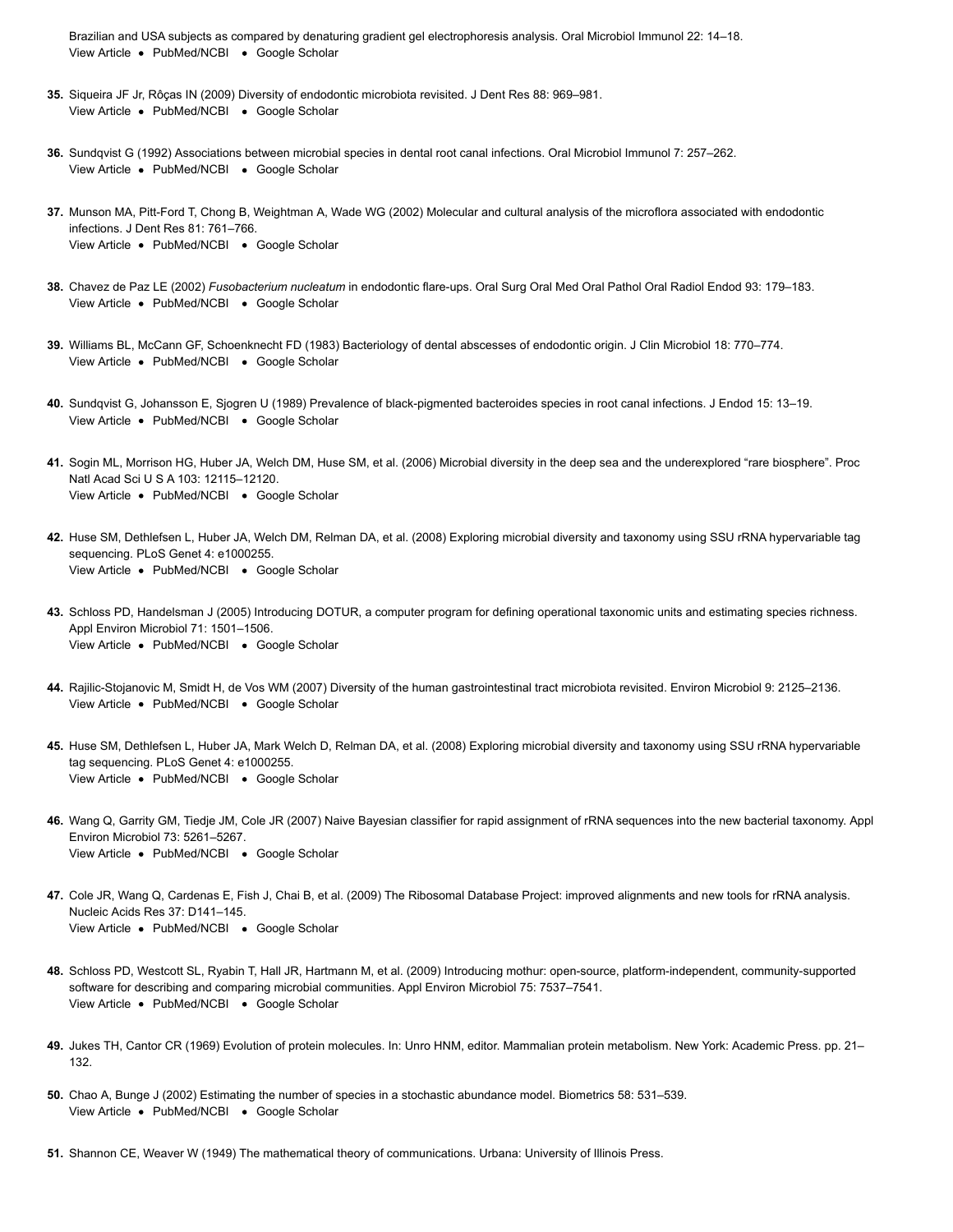[View Article](http://journals.plos.org/plosone/article?id=10.1371/journal.pone.0028088#) . [PubMed/NCBI](http://www.ncbi.nlm.nih.gov/entrez/query.fcgi?db=PubMed&cmd=Search&doptcmdl=Citation&defaultField=Title+Word&term=Machado+de+Oliveira%5Bauthor%5D+AND+Bacterial+community+profiles+of+endodontic+abscesses+from+Brazilian+and+USA+subjects+as+compared+by+denaturing+gradient+gel+electrophoresis+analysis.) . [Google Scholar](http://scholar.google.com/scholar_lookup?title=Bacterial+community+profiles+of+endodontic+abscesses+from+Brazilian+and+USA+subjects+as+compared+by+denaturing+gradient+gel+electrophoresis+analysis.&author=Machado+de+Oliveira&publication_year=2007) Brazilian and USA subjects as compared by denaturing gradient gel electrophoresis analysis. Oral Microbiol Immunol 22: 14–18.

- [View Article](http://journals.plos.org/plosone/article?id=10.1371/journal.pone.0028088#) · [PubMed/NCBI](http://www.ncbi.nlm.nih.gov/entrez/query.fcgi?db=PubMed&cmd=Search&doptcmdl=Citation&defaultField=Title+Word&term=Siqueira%5Bauthor%5D+AND+Diversity+of+endodontic+microbiota+revisited.) · [Google Scholar](http://scholar.google.com/scholar_lookup?title=Diversity+of+endodontic+microbiota+revisited.&author=Siqueira&publication_year=2009) **35.** Siqueira JF Jr, Rôças IN (2009) Diversity of endodontic microbiota revisited. J Dent Res 88: 969–981.
- [View Article](http://journals.plos.org/plosone/article?id=10.1371/journal.pone.0028088#) · [PubMed/NCBI](http://www.ncbi.nlm.nih.gov/entrez/query.fcgi?db=PubMed&cmd=Search&doptcmdl=Citation&defaultField=Title+Word&term=Sundqvist%5Bauthor%5D+AND+Associations+between+microbial+species+in+dental+root+canal+infections.) · [Google Scholar](http://scholar.google.com/scholar_lookup?title=Associations+between+microbial+species+in+dental+root+canal+infections.&author=Sundqvist&publication_year=1992) **36.** Sundqvist G (1992) Associations between microbial species in dental root canal infections. Oral Microbiol Immunol 7: 257–262.
- [View Article](http://journals.plos.org/plosone/article?id=10.1371/journal.pone.0028088#) · [PubMed/NCBI](http://www.ncbi.nlm.nih.gov/entrez/query.fcgi?db=PubMed&cmd=Search&doptcmdl=Citation&defaultField=Title+Word&term=Munson%5Bauthor%5D+AND+Molecular+and+cultural+analysis+of+the+microflora+associated+with+endodontic+infections.) · [Google Scholar](http://scholar.google.com/scholar_lookup?title=Molecular+and+cultural+analysis+of+the+microflora+associated+with+endodontic+infections.&author=Munson&publication_year=2002) **37.** Munson MA, Pitt-Ford T, Chong B, Weightman A, Wade WG (2002) Molecular and cultural analysis of the microflora associated with endodontic infections. J Dent Res 81: 761–766.
- [View Article](http://journals.plos.org/plosone/article?id=10.1371/journal.pone.0028088#) . [PubMed/NCBI](http://www.ncbi.nlm.nih.gov/entrez/query.fcgi?db=PubMed&cmd=Search&doptcmdl=Citation&defaultField=Title+Word&term=Chavez+de+Paz%5Bauthor%5D+AND+Fusobacterium+nucleatum+in+endodontic+flare-ups.) . [Google Scholar](http://scholar.google.com/scholar_lookup?title=Fusobacterium+nucleatum+in+endodontic+flare-ups.&author=Chavez+de+Paz&publication_year=2002) **38.** Chavez de Paz LE (2002) *Fusobacterium nucleatum* in endodontic flare-ups. Oral Surg Oral Med Oral Pathol Oral Radiol Endod 93: 179–183.
- [View Article](http://journals.plos.org/plosone/article?id=10.1371/journal.pone.0028088#) . [PubMed/NCBI](http://www.ncbi.nlm.nih.gov/entrez/query.fcgi?db=PubMed&cmd=Search&doptcmdl=Citation&defaultField=Title+Word&term=Williams%5Bauthor%5D+AND+Bacteriology+of+dental+abscesses+of+endodontic+origin.) . [Google Scholar](http://scholar.google.com/scholar_lookup?title=Bacteriology+of+dental+abscesses+of+endodontic+origin.&author=Williams&publication_year=1983) **39.** Williams BL, McCann GF, Schoenknecht FD (1983) Bacteriology of dental abscesses of endodontic origin. J Clin Microbiol 18: 770–774.
- [View Article](http://journals.plos.org/plosone/article?id=10.1371/journal.pone.0028088#) · [PubMed/NCBI](http://www.ncbi.nlm.nih.gov/entrez/query.fcgi?db=PubMed&cmd=Search&doptcmdl=Citation&defaultField=Title+Word&term=Sundqvist%5Bauthor%5D+AND+Prevalence+of+black-pigmented+bacteroides+species+in+root+canal+infections.) · [Google Scholar](http://scholar.google.com/scholar_lookup?title=Prevalence+of+black-pigmented+bacteroides+species+in+root+canal+infections.&author=Sundqvist&publication_year=1989) **40.** Sundqvist G, Johansson E, Sjogren U (1989) Prevalence of black-pigmented bacteroides species in root canal infections. J Endod 15: 13–19.
- [View Article](http://journals.plos.org/plosone/article?id=10.1371/journal.pone.0028088#) · [PubMed/NCBI](http://www.ncbi.nlm.nih.gov/entrez/query.fcgi?db=PubMed&cmd=Search&doptcmdl=Citation&defaultField=Title+Word&term=Sogin%5Bauthor%5D+AND+Microbial+diversity+in+the+deep+sea+and+the+underexplored+%E2%80%9Crare+biosphere%E2%80%9D.) · [Google Scholar](http://scholar.google.com/scholar_lookup?title=Microbial+diversity+in+the+deep+sea+and+the+underexplored+%E2%80%9Crare+biosphere%E2%80%9D.&author=Sogin&publication_year=2006) **41.** Sogin ML, Morrison HG, Huber JA, Welch DM, Huse SM, et al. (2006) Microbial diversity in the deep sea and the underexplored "rare biosphere". Proc Natl Acad Sci U S A 103: 12115–12120.
- [View Article](http://journals.plos.org/plosone/article?id=10.1371/journal.pone.0028088#) [PubMed/NCBI](http://www.ncbi.nlm.nih.gov/entrez/query.fcgi?db=PubMed&cmd=Search&doptcmdl=Citation&defaultField=Title+Word&term=Huse%5Bauthor%5D+AND+Exploring+microbial+diversity+and+taxonomy+using+SSU+rRNA+hypervariable+tag+sequencing.) [Google Scholar](http://scholar.google.com/scholar_lookup?title=Exploring+microbial+diversity+and+taxonomy+using+SSU+rRNA+hypervariable+tag+sequencing.&author=Huse&publication_year=2008) **42.** Huse SM, Dethlefsen L, Huber JA, Welch DM, Relman DA, et al. (2008) Exploring microbial diversity and taxonomy using SSU rRNA hypervariable tag sequencing. PLoS Genet 4: e1000255.
- [View Article](http://journals.plos.org/plosone/article?id=10.1371/journal.pone.0028088#) [PubMed/NCBI](http://www.ncbi.nlm.nih.gov/entrez/query.fcgi?db=PubMed&cmd=Search&doptcmdl=Citation&defaultField=Title+Word&term=Schloss%5Bauthor%5D+AND+Introducing+DOTUR%2C+a+computer+program+for+defining+operational+taxonomic+units+and+estimating+species+richness.) [Google Scholar](http://scholar.google.com/scholar_lookup?title=Introducing+DOTUR%2C+a+computer+program+for+defining+operational+taxonomic+units+and+estimating+species+richness.&author=Schloss&publication_year=2005) **43.** Schloss PD, Handelsman J (2005) Introducing DOTUR, a computer program for defining operational taxonomic units and estimating species richness. Appl Environ Microbiol 71: 1501–1506.
- [View Article](http://journals.plos.org/plosone/article?id=10.1371/journal.pone.0028088#) . [PubMed/NCBI](http://www.ncbi.nlm.nih.gov/entrez/query.fcgi?db=PubMed&cmd=Search&doptcmdl=Citation&defaultField=Title+Word&term=Rajilic-Stojanovic%5Bauthor%5D+AND+Diversity+of+the+human+gastrointestinal+tract+microbiota+revisited.) . [Google Scholar](http://scholar.google.com/scholar_lookup?title=Diversity+of+the+human+gastrointestinal+tract+microbiota+revisited.&author=Rajilic-Stojanovic&publication_year=2007) **44.** Rajilic-Stojanovic M, Smidt H, de Vos WM (2007) Diversity of the human gastrointestinal tract microbiota revisited. Environ Microbiol 9: 2125–2136.
- [View Article](http://journals.plos.org/plosone/article?id=10.1371/journal.pone.0028088#) · [PubMed/NCBI](http://www.ncbi.nlm.nih.gov/entrez/query.fcgi?db=PubMed&cmd=Search&doptcmdl=Citation&defaultField=Title+Word&term=Huse%5Bauthor%5D+AND+Exploring+microbial+diversity+and+taxonomy+using+SSU+rRNA+hypervariable+tag+sequencing.) · [Google Scholar](http://scholar.google.com/scholar_lookup?title=Exploring+microbial+diversity+and+taxonomy+using+SSU+rRNA+hypervariable+tag+sequencing.&author=Huse&publication_year=2008) **45.** Huse SM, Dethlefsen L, Huber JA, Mark Welch D, Relman DA, et al. (2008) Exploring microbial diversity and taxonomy using SSU rRNA hypervariable tag sequencing. PLoS Genet 4: e1000255.
- [View Article](http://journals.plos.org/plosone/article?id=10.1371/journal.pone.0028088#) [PubMed/NCBI](http://www.ncbi.nlm.nih.gov/entrez/query.fcgi?db=PubMed&cmd=Search&doptcmdl=Citation&defaultField=Title+Word&term=Wang%5Bauthor%5D+AND+Naive+Bayesian+classifier+for+rapid+assignment+of+rRNA+sequences+into+the+new+bacterial+taxonomy.) [Google Scholar](http://scholar.google.com/scholar_lookup?title=Naive+Bayesian+classifier+for+rapid+assignment+of+rRNA+sequences+into+the+new+bacterial+taxonomy.&author=Wang&publication_year=2007) **46.** Wang Q, Garrity GM, Tiedje JM, Cole JR (2007) Naive Bayesian classifier for rapid assignment of rRNA sequences into the new bacterial taxonomy. Appl Environ Microbiol 73: 5261–5267.
- [View Article](http://journals.plos.org/plosone/article?id=10.1371/journal.pone.0028088#) · [PubMed/NCBI](http://www.ncbi.nlm.nih.gov/entrez/query.fcgi?db=PubMed&cmd=Search&doptcmdl=Citation&defaultField=Title+Word&term=Cole%5Bauthor%5D+AND+The+Ribosomal+Database+Project%3A+improved+alignments+and+new+tools+for+rRNA+analysis.) · [Google Scholar](http://scholar.google.com/scholar_lookup?title=The+Ribosomal+Database+Project%3A+improved+alignments+and+new+tools+for+rRNA+analysis.&author=Cole&publication_year=2009) **47.** Cole JR, Wang Q, Cardenas E, Fish J, Chai B, et al. (2009) The Ribosomal Database Project: improved alignments and new tools for rRNA analysis. Nucleic Acids Res 37: D141–145.
- [View Article](http://journals.plos.org/plosone/article?id=10.1371/journal.pone.0028088#) · [PubMed/NCBI](http://www.ncbi.nlm.nih.gov/entrez/query.fcgi?db=PubMed&cmd=Search&doptcmdl=Citation&defaultField=Title+Word&term=Schloss%5Bauthor%5D+AND+Introducing+mothur%3A+open-source%2C+platform-independent%2C+community-supported+software+for+describing+and+comparing+microbial+communities.) · [Google Scholar](http://scholar.google.com/scholar_lookup?title=Introducing+mothur%3A+open-source%2C+platform-independent%2C+community-supported+software+for+describing+and+comparing+microbial+communities.&author=Schloss&publication_year=2009) **48.** Schloss PD, Westcott SL, Ryabin T, Hall JR, Hartmann M, et al. (2009) Introducing mothur: open-source, platform-independent, community-supported software for describing and comparing microbial communities. Appl Environ Microbiol 75: 7537–7541.
- **49.** Jukes TH, Cantor CR (1969) Evolution of protein molecules. In: Unro HNM, editor. Mammalian protein metabolism. New York: Academic Press. pp. 21– 132.
- [View Article](http://journals.plos.org/plosone/article?id=10.1371/journal.pone.0028088#) . [PubMed/NCBI](http://www.ncbi.nlm.nih.gov/entrez/query.fcgi?db=PubMed&cmd=Search&doptcmdl=Citation&defaultField=Title+Word&term=Chao%5Bauthor%5D+AND+Estimating+the+number+of+species+in+a+stochastic+abundance+model.) . [Google Scholar](http://scholar.google.com/scholar_lookup?title=Estimating+the+number+of+species+in+a+stochastic+abundance+model.&author=Chao&publication_year=2002) **50.** Chao A, Bunge J (2002) Estimating the number of species in a stochastic abundance model. Biometrics 58: 531–539.
- **51.** Shannon CE, Weaver W (1949) The mathematical theory of communications. Urbana: University of Illinois Press.